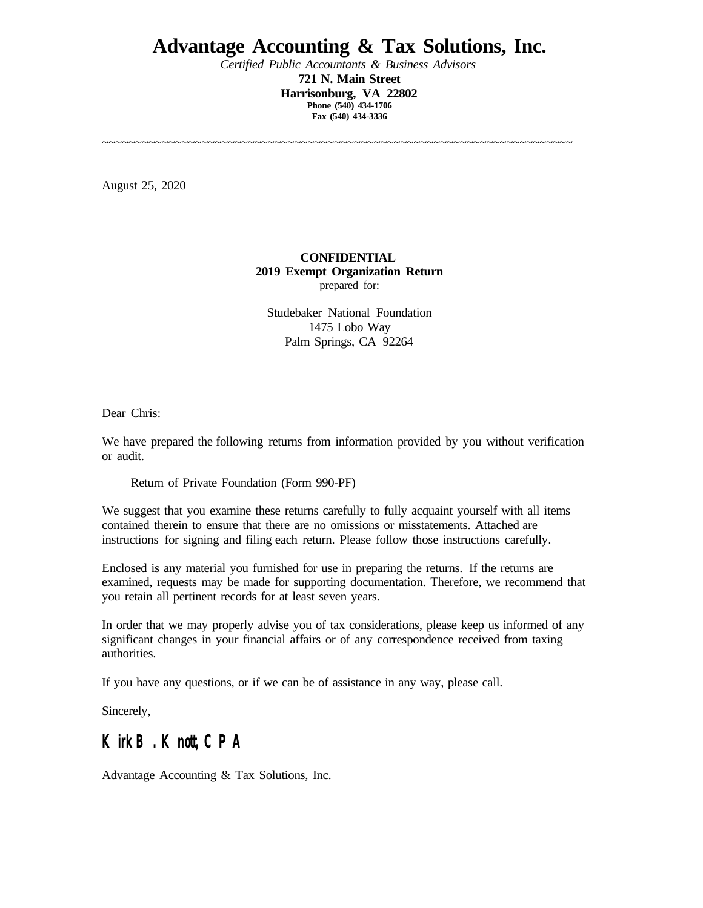# **Advantage Accounting & Tax Solutions, Inc.**

*Certified Public Accountants & Business Advisors* **721 N. Main Street Harrisonburg, VA 22802 Phone (540) 434-1706 Fax (540) 434-3336**

~~~~~~~~~~~~~~~~~~~~~~~~~~~~~~~~~~~~~~~~~~~~~~~~~~~~~~~~~~~~~~~~~~~~~~~

August 25, 2020

### **CONFIDENTIAL 2019 Exempt Organization Return** prepared for:

Studebaker National Foundation 1475 Lobo Way Palm Springs, CA 92264

Dear Chris:

We have prepared the following returns from information provided by you without verification or audit.

Return of Private Foundation (Form 990-PF)

We suggest that you examine these returns carefully to fully acquaint yourself with all items contained therein to ensure that there are no omissions or misstatements. Attached are instructions for signing and filing each return. Please follow those instructions carefully.

Enclosed is any material you furnished for use in preparing the returns. If the returns are examined, requests may be made for supporting documentation. Therefore, we recommend that you retain all pertinent records for at least seven years.

In order that we may properly advise you of tax considerations, please keep us informed of any significant changes in your financial affairs or of any correspondence received from taxing authorities.

If you have any questions, or if we can be of assistance in any way, please call.

Sincerely,

# **Kirk B. Knott, CPA**

Advantage Accounting & Tax Solutions, Inc.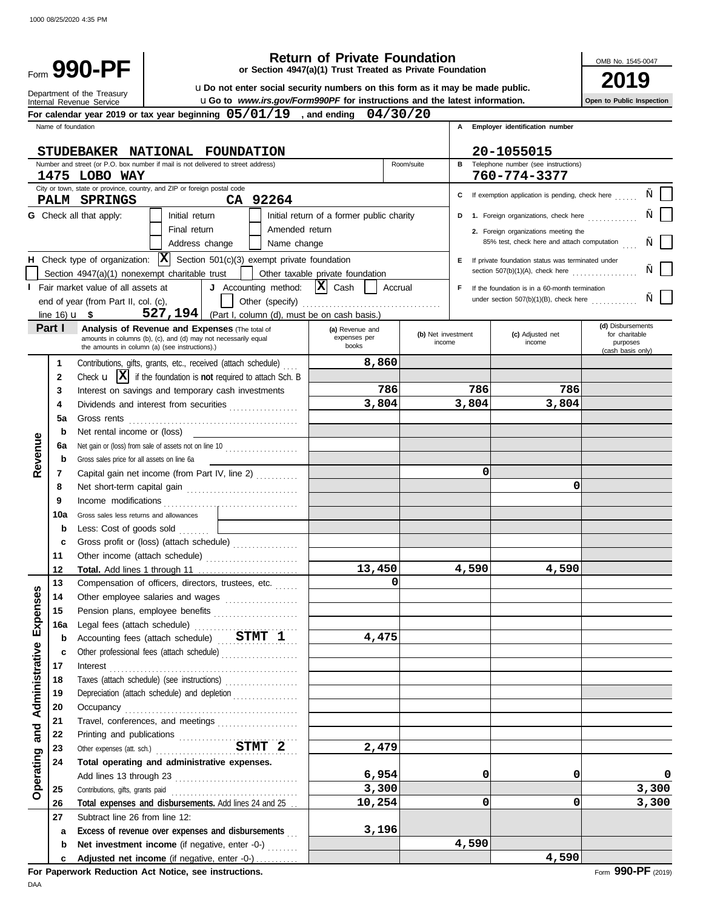| $_{\tiny{\sf Form}}$ 990-PF $\parallel$                | <b>Return of Private Foundation</b><br>or Section 4947(a)(1) Trust Treated as Private Foundation | OMB No. 1545-00<br>2019 |
|--------------------------------------------------------|--------------------------------------------------------------------------------------------------|-------------------------|
|                                                        | uDo not enter social security numbers on this form as it may be made public.                     |                         |
| Department of the Treasury<br>Internal Revenue Service | <b>uGo to</b> www.irs.gov/Form990PF for instructions and the latest information.                 | Open to Public Insp     |

**Open to Public Inspection**

OMB No. 1545-0047

|                                              |                          | For calendar year 2019 or tax year beginning $05/01/19$ , and ending                                                    | 04/30/20                                  |                    |                                                                                     |                                     |  |  |  |
|----------------------------------------------|--------------------------|-------------------------------------------------------------------------------------------------------------------------|-------------------------------------------|--------------------|-------------------------------------------------------------------------------------|-------------------------------------|--|--|--|
|                                              | Name of foundation       |                                                                                                                         |                                           |                    | A Employer identification number                                                    |                                     |  |  |  |
|                                              |                          |                                                                                                                         |                                           |                    |                                                                                     |                                     |  |  |  |
| 20-1055015<br>STUDEBAKER NATIONAL FOUNDATION |                          |                                                                                                                         |                                           |                    |                                                                                     |                                     |  |  |  |
|                                              |                          | Number and street (or P.O. box number if mail is not delivered to street address)                                       |                                           | B<br>Room/suite    | Telephone number (see instructions)                                                 |                                     |  |  |  |
|                                              |                          | 1475 LOBO WAY<br>City or town, state or province, country, and ZIP or foreign postal code                               |                                           |                    | 760-774-3377                                                                        |                                     |  |  |  |
|                                              |                          | CA 92264<br>PALM SPRINGS                                                                                                |                                           |                    | C If exemption application is pending, check here                                   |                                     |  |  |  |
|                                              |                          | <b>G</b> Check all that apply:<br>Initial return                                                                        | Initial return of a former public charity |                    | D 1. Foreign organizations, check here                                              |                                     |  |  |  |
|                                              |                          | Amended return<br>Final return                                                                                          |                                           |                    |                                                                                     |                                     |  |  |  |
|                                              |                          | Address change<br>Name change                                                                                           |                                           |                    | 2. Foreign organizations meeting the<br>85% test, check here and attach computation |                                     |  |  |  |
|                                              |                          |                                                                                                                         |                                           |                    |                                                                                     |                                     |  |  |  |
|                                              |                          | H Check type of organization: $ \mathbf{X} $ Section 501(c)(3) exempt private foundation                                |                                           |                    | E If private foundation status was terminated under                                 |                                     |  |  |  |
|                                              |                          | Section $4947(a)(1)$ nonexempt charitable trust                                                                         | Other taxable private foundation          |                    | section $507(b)(1)(A)$ , check here                                                 |                                     |  |  |  |
|                                              |                          | I Fair market value of all assets at<br>J Accounting method:                                                            | $ \mathbf{X} $ Cash<br>Accrual            |                    | <b>F</b> If the foundation is in a 60-month termination                             |                                     |  |  |  |
|                                              |                          | end of year (from Part II, col. (c),                                                                                    |                                           |                    | under section 507(b)(1)(B), check here                                              |                                     |  |  |  |
|                                              | line 16) $\mathbf{u}$ \$ | 527, 194   (Part I, column (d), must be on cash basis.)                                                                 |                                           |                    |                                                                                     |                                     |  |  |  |
|                                              | Part I                   | <b>Analysis of Revenue and Expenses (The total of</b><br>amounts in columns (b), (c), and (d) may not necessarily equal | (a) Revenue and<br>expenses per           | (b) Net investment | (c) Adjusted net                                                                    | (d) Disbursements<br>for charitable |  |  |  |
|                                              |                          | the amounts in column (a) (see instructions).)                                                                          | books                                     | income             | income                                                                              | purposes<br>(cash basis only)       |  |  |  |
|                                              | 1                        | Contributions, gifts, grants, etc., received (attach schedule)                                                          | 8,860                                     |                    |                                                                                     |                                     |  |  |  |
|                                              | $\mathbf{2}$             | Check $\mathbf{u}$ $\mathbf{X}$ if the foundation is not required to attach Sch. B                                      |                                           |                    |                                                                                     |                                     |  |  |  |
|                                              | 3                        | Interest on savings and temporary cash investments                                                                      | 786                                       | 786                | 786                                                                                 |                                     |  |  |  |
|                                              | 4                        |                                                                                                                         | 3,804                                     | 3,804              | 3,804                                                                               |                                     |  |  |  |
|                                              | 5a                       |                                                                                                                         |                                           |                    |                                                                                     |                                     |  |  |  |
|                                              | b                        | Net rental income or (loss)                                                                                             |                                           |                    |                                                                                     |                                     |  |  |  |
|                                              | 6а                       | Net gain or (loss) from sale of assets not on line 10                                                                   |                                           |                    |                                                                                     |                                     |  |  |  |
| Revenue                                      | b                        | Gross sales price for all assets on line 6a                                                                             |                                           |                    |                                                                                     |                                     |  |  |  |
|                                              | 7                        | Capital gain net income (from Part IV, line 2)                                                                          |                                           |                    | 0                                                                                   |                                     |  |  |  |
|                                              | 8                        |                                                                                                                         |                                           |                    | 0                                                                                   |                                     |  |  |  |
|                                              | 9                        |                                                                                                                         |                                           |                    |                                                                                     |                                     |  |  |  |
|                                              | 10a                      | Gross sales less returns and allowances                                                                                 |                                           |                    |                                                                                     |                                     |  |  |  |
|                                              | b                        | Less: Cost of goods sold                                                                                                |                                           |                    |                                                                                     |                                     |  |  |  |
|                                              | c                        | Gross profit or (loss) (attach schedule)                                                                                |                                           |                    |                                                                                     |                                     |  |  |  |
|                                              | 11                       |                                                                                                                         |                                           |                    |                                                                                     |                                     |  |  |  |
|                                              | 12                       | Total. Add lines 1 through 11                                                                                           | 13,450                                    | 4,590              | 4,590                                                                               |                                     |  |  |  |
|                                              | 13                       | Compensation of officers, directors, trustees, etc.                                                                     | 0                                         |                    |                                                                                     |                                     |  |  |  |
|                                              | 14                       | Other employee salaries and wages                                                                                       |                                           |                    |                                                                                     |                                     |  |  |  |
| enses                                        | 15                       | Pension plans, employee benefits                                                                                        |                                           |                    |                                                                                     |                                     |  |  |  |
|                                              | 16a                      | Legal fees (attach schedule)                                                                                            |                                           |                    |                                                                                     |                                     |  |  |  |
| 囚                                            | b                        | Accounting fees (attach schedule) STMT 1                                                                                | 4,475                                     |                    |                                                                                     |                                     |  |  |  |
|                                              | c                        | Other professional fees (attach schedule)                                                                               |                                           |                    |                                                                                     |                                     |  |  |  |
| Administrative                               | 17                       | Interest                                                                                                                |                                           |                    |                                                                                     |                                     |  |  |  |
|                                              | 18                       | Taxes (attach schedule) (see instructions)                                                                              |                                           |                    |                                                                                     |                                     |  |  |  |
|                                              | 19                       | Depreciation (attach schedule) and depletion [1] [1] [1] [1] [1] [1] and depletion [1] [1] [1] $\frac{1}{2}$            |                                           |                    |                                                                                     |                                     |  |  |  |
|                                              | 20                       |                                                                                                                         |                                           |                    |                                                                                     |                                     |  |  |  |
|                                              | 21                       | Travel, conferences, and meetings                                                                                       |                                           |                    |                                                                                     |                                     |  |  |  |
| and                                          | 22                       | Printing and publications<br>STMT 2                                                                                     |                                           |                    |                                                                                     |                                     |  |  |  |
|                                              | 23                       |                                                                                                                         | 2,479                                     |                    |                                                                                     |                                     |  |  |  |
|                                              | 24                       | Total operating and administrative expenses.                                                                            |                                           |                    |                                                                                     |                                     |  |  |  |
|                                              |                          |                                                                                                                         | 6,954                                     |                    | 0<br>0                                                                              | 0                                   |  |  |  |
| Operating<br>25                              |                          |                                                                                                                         | 3,300                                     |                    |                                                                                     | 3,300                               |  |  |  |
|                                              | 26                       | Total expenses and disbursements. Add lines 24 and 25                                                                   | 10,254                                    |                    | 0<br>0                                                                              | 3,300                               |  |  |  |
|                                              | 27                       | Subtract line 26 from line 12:                                                                                          |                                           |                    |                                                                                     |                                     |  |  |  |
|                                              | a                        | Excess of revenue over expenses and disbursements                                                                       | 3,196                                     |                    |                                                                                     |                                     |  |  |  |
|                                              | b                        | Net investment income (if negative, enter -0-)                                                                          |                                           | 4,590              |                                                                                     |                                     |  |  |  |
|                                              | c                        | Adjusted net income (if negative, enter -0-)                                                                            |                                           |                    | 4,590                                                                               |                                     |  |  |  |

**For Paperwork Reduction Act Notice, see instructions.**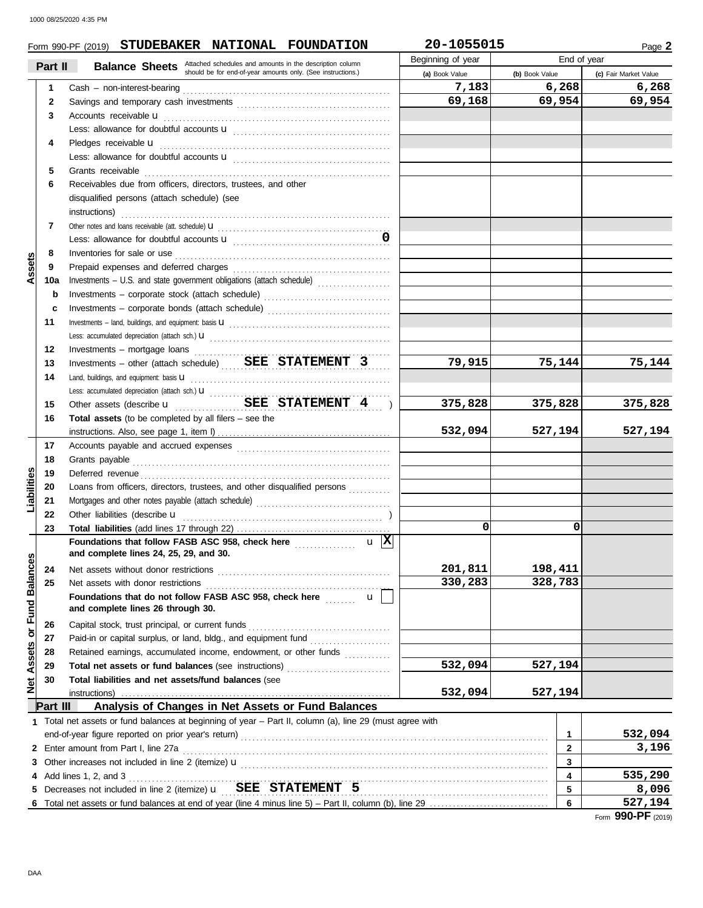|                             |          | Form 990-PF (2019) STUDEBAKER NATIONAL FOUNDATION                                                                                                                                                                                                                                                                | 20-1055015        |                         | Page 2                |
|-----------------------------|----------|------------------------------------------------------------------------------------------------------------------------------------------------------------------------------------------------------------------------------------------------------------------------------------------------------------------|-------------------|-------------------------|-----------------------|
|                             |          | <b>Balance Sheets</b> Attached schedules and amounts in the description column                                                                                                                                                                                                                                   | Beginning of year | End of year             |                       |
|                             | Part II  | should be for end-of-year amounts only. (See instructions.)                                                                                                                                                                                                                                                      | (a) Book Value    | (b) Book Value          | (c) Fair Market Value |
|                             | 1        |                                                                                                                                                                                                                                                                                                                  | 7,183             | 6,268                   | 6,268                 |
|                             | 2        |                                                                                                                                                                                                                                                                                                                  | 69,168            | 69,954                  | 69,954                |
|                             | 3        | Accounts receivable <b>u</b>                                                                                                                                                                                                                                                                                     |                   |                         |                       |
|                             |          |                                                                                                                                                                                                                                                                                                                  |                   |                         |                       |
|                             | 4        | Pledges receivable <b>u</b>                                                                                                                                                                                                                                                                                      |                   |                         |                       |
|                             |          |                                                                                                                                                                                                                                                                                                                  |                   |                         |                       |
|                             | 5        | Grants receivable                                                                                                                                                                                                                                                                                                |                   |                         |                       |
|                             | 6        | Receivables due from officers, directors, trustees, and other                                                                                                                                                                                                                                                    |                   |                         |                       |
|                             |          | disqualified persons (attach schedule) (see                                                                                                                                                                                                                                                                      |                   |                         |                       |
|                             |          |                                                                                                                                                                                                                                                                                                                  |                   |                         |                       |
|                             | 7        | instructions)                                                                                                                                                                                                                                                                                                    |                   |                         |                       |
|                             |          |                                                                                                                                                                                                                                                                                                                  |                   |                         |                       |
|                             | 8        |                                                                                                                                                                                                                                                                                                                  |                   |                         |                       |
| Assets                      | 9        | Inventories for sale or use <i>contained a material example of the sale or use</i>                                                                                                                                                                                                                               |                   |                         |                       |
|                             | 10a      | Investments - U.S. and state government obligations (attach schedule)                                                                                                                                                                                                                                            |                   |                         |                       |
|                             |          |                                                                                                                                                                                                                                                                                                                  |                   |                         |                       |
|                             | b        | Investments - corporate stock (attach schedule)                                                                                                                                                                                                                                                                  |                   |                         |                       |
|                             | c        | Investments - corporate bonds (attach schedule)                                                                                                                                                                                                                                                                  |                   |                         |                       |
|                             | 11       |                                                                                                                                                                                                                                                                                                                  |                   |                         |                       |
|                             |          |                                                                                                                                                                                                                                                                                                                  |                   |                         |                       |
|                             | 12       | Investments – mortgage loans<br>$\ldots$                                                                                                                                                                                                                                                                         | 79,915            | 75,144                  | 75,144                |
|                             | 13       | Investments - other (attach schedule) SEE STATEMENT 3                                                                                                                                                                                                                                                            |                   |                         |                       |
|                             | 14       |                                                                                                                                                                                                                                                                                                                  |                   |                         |                       |
|                             |          |                                                                                                                                                                                                                                                                                                                  |                   |                         |                       |
|                             | 15       | Other assets (describe <b>u SEE STATEMENT 4</b> )                                                                                                                                                                                                                                                                | 375,828           | 375,828                 | 375,828               |
|                             | 16       | <b>Total assets</b> (to be completed by all filers $-$ see the                                                                                                                                                                                                                                                   | 532,094           |                         |                       |
|                             | 17       |                                                                                                                                                                                                                                                                                                                  |                   | 527,194                 | 527,194               |
|                             | 18       |                                                                                                                                                                                                                                                                                                                  |                   |                         |                       |
|                             | 19       |                                                                                                                                                                                                                                                                                                                  |                   |                         |                       |
| Liabilities                 | 20       | Deferred revenue <b>contract and the contract of the contract of the contract of the contract of the contract of the contract of the contract of the contract of the contract of the contract of the contract of the contract of</b><br>Loans from officers, directors, trustees, and other disqualified persons |                   |                         |                       |
|                             | 21       |                                                                                                                                                                                                                                                                                                                  |                   |                         |                       |
|                             | 22       | Other liabilities (describe u                                                                                                                                                                                                                                                                                    |                   |                         |                       |
|                             | 23       |                                                                                                                                                                                                                                                                                                                  | 0                 | 0                       |                       |
|                             |          | $\mathbf{u}$  X <br>Foundations that follow FASB ASC 958, check here <i>[[[[[[[[[[[[[[[]]]]</i>                                                                                                                                                                                                                  |                   |                         |                       |
|                             |          | and complete lines 24, 25, 29, and 30.                                                                                                                                                                                                                                                                           |                   |                         |                       |
|                             | 24       | Net assets without donor restrictions                                                                                                                                                                                                                                                                            | 201,811           | 198,411                 |                       |
| Net Assets or Fund Balances | 25       | Net assets with donor restrictions                                                                                                                                                                                                                                                                               | 330,283           | 328,783                 |                       |
|                             |          | Foundations that do not follow FASB ASC 958, check here<br>$\mathbf{u}$                                                                                                                                                                                                                                          |                   |                         |                       |
|                             |          | and complete lines 26 through 30.                                                                                                                                                                                                                                                                                |                   |                         |                       |
|                             | 26       | Capital stock, trust principal, or current funds                                                                                                                                                                                                                                                                 |                   |                         |                       |
|                             | 27       | Paid-in or capital surplus, or land, bldg., and equipment fund                                                                                                                                                                                                                                                   |                   |                         |                       |
|                             | 28       | Retained earnings, accumulated income, endowment, or other funds                                                                                                                                                                                                                                                 |                   |                         |                       |
|                             | 29       |                                                                                                                                                                                                                                                                                                                  | 532,094           | 527,194                 |                       |
|                             | 30       | Total liabilities and net assets/fund balances (see                                                                                                                                                                                                                                                              |                   |                         |                       |
|                             |          | instructions)                                                                                                                                                                                                                                                                                                    | 532,094           | 527,194                 |                       |
|                             | Part III | Analysis of Changes in Net Assets or Fund Balances                                                                                                                                                                                                                                                               |                   |                         |                       |
|                             |          | 1 Total net assets or fund balances at beginning of year - Part II, column (a), line 29 (must agree with                                                                                                                                                                                                         |                   |                         |                       |
|                             |          | end-of-year figure reported on prior year's return)                                                                                                                                                                                                                                                              |                   | 1                       | 532,094               |
|                             |          | 2 Enter amount from Part I, line 27a                                                                                                                                                                                                                                                                             |                   | $\mathbf{2}$            | 3,196                 |
|                             |          |                                                                                                                                                                                                                                                                                                                  |                   | 3                       |                       |
|                             |          | 4 Add lines 1, 2, and 3                                                                                                                                                                                                                                                                                          |                   | $\overline{\mathbf{4}}$ | 535,290               |
| 5                           |          | Add lines 1, 2, and 3<br>Decreases not included in line 2 (itemize) <b>u</b> SEE STATEMENT 5                                                                                                                                                                                                                     |                   | 5                       | 8,096                 |
| 6                           |          |                                                                                                                                                                                                                                                                                                                  |                   | 6                       | 527,194               |
|                             |          |                                                                                                                                                                                                                                                                                                                  |                   |                         |                       |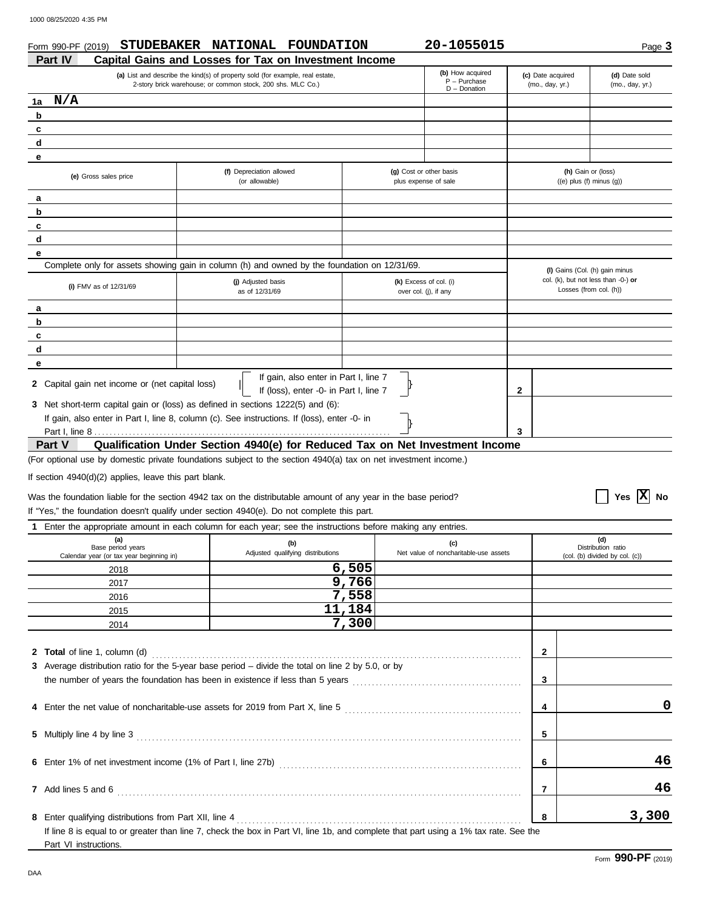| Form 990-PF (2019)                                                   | STUDEBAKER NATIONAL FOUNDATION                                                                                                                                                  |        | 20-1055015                                           |                                      | Page 3                                                        |
|----------------------------------------------------------------------|---------------------------------------------------------------------------------------------------------------------------------------------------------------------------------|--------|------------------------------------------------------|--------------------------------------|---------------------------------------------------------------|
| Part IV                                                              | Capital Gains and Losses for Tax on Investment Income                                                                                                                           |        |                                                      |                                      |                                                               |
|                                                                      | (a) List and describe the kind(s) of property sold (for example, real estate,<br>2-story brick warehouse; or common stock, 200 shs. MLC Co.)                                    |        | (b) How acquired<br>$P - Purchase$<br>$D$ - Donation | (c) Date acquired<br>(mo., day, yr.) | (d) Date sold<br>(mo., day, yr.)                              |
| N/A<br>1a                                                            |                                                                                                                                                                                 |        |                                                      |                                      |                                                               |
| b                                                                    |                                                                                                                                                                                 |        |                                                      |                                      |                                                               |
| c                                                                    |                                                                                                                                                                                 |        |                                                      |                                      |                                                               |
| d                                                                    |                                                                                                                                                                                 |        |                                                      |                                      |                                                               |
| е                                                                    |                                                                                                                                                                                 |        |                                                      |                                      |                                                               |
| (e) Gross sales price                                                | (f) Depreciation allowed<br>(or allowable)                                                                                                                                      |        | (g) Cost or other basis<br>plus expense of sale      |                                      | (h) Gain or (loss)<br>$((e)$ plus $(f)$ minus $(g)$ )         |
| а                                                                    |                                                                                                                                                                                 |        |                                                      |                                      |                                                               |
| b                                                                    |                                                                                                                                                                                 |        |                                                      |                                      |                                                               |
| c                                                                    |                                                                                                                                                                                 |        |                                                      |                                      |                                                               |
| d                                                                    |                                                                                                                                                                                 |        |                                                      |                                      |                                                               |
| е                                                                    |                                                                                                                                                                                 |        |                                                      |                                      |                                                               |
|                                                                      | Complete only for assets showing gain in column (h) and owned by the foundation on 12/31/69.                                                                                    |        |                                                      |                                      | (I) Gains (Col. (h) gain minus                                |
| (i) FMV as of 12/31/69                                               | (j) Adjusted basis<br>as of 12/31/69                                                                                                                                            |        | (k) Excess of col. (i)<br>over col. (i), if any      |                                      | col. (k), but not less than -0-) or<br>Losses (from col. (h)) |
| a                                                                    |                                                                                                                                                                                 |        |                                                      |                                      |                                                               |
| b                                                                    |                                                                                                                                                                                 |        |                                                      |                                      |                                                               |
| c                                                                    |                                                                                                                                                                                 |        |                                                      |                                      |                                                               |
| d                                                                    |                                                                                                                                                                                 |        |                                                      |                                      |                                                               |
| е                                                                    |                                                                                                                                                                                 |        |                                                      |                                      |                                                               |
|                                                                      | 3 Net short-term capital gain or (loss) as defined in sections 1222(5) and (6):<br>If gain, also enter in Part I, line 8, column (c). See instructions. If (loss), enter -0- in |        |                                                      | 3                                    |                                                               |
| <b>Part V</b>                                                        | Qualification Under Section 4940(e) for Reduced Tax on Net Investment Income                                                                                                    |        |                                                      |                                      |                                                               |
|                                                                      | (For optional use by domestic private foundations subject to the section 4940(a) tax on net investment income.)                                                                 |        |                                                      |                                      |                                                               |
| If section 4940(d)(2) applies, leave this part blank.                |                                                                                                                                                                                 |        |                                                      |                                      |                                                               |
|                                                                      | Was the foundation liable for the section 4942 tax on the distributable amount of any year in the base period?                                                                  |        |                                                      |                                      | Yes $ X $<br><b>No</b>                                        |
|                                                                      | If "Yes," the foundation doesn't qualify under section 4940(e). Do not complete this part.                                                                                      |        |                                                      |                                      |                                                               |
| 1                                                                    | Enter the appropriate amount in each column for each year; see the instructions before making any entries.                                                                      |        |                                                      |                                      |                                                               |
| (a)<br>Base period years<br>Calendar year (or tax year beginning in) | (b)<br>Adjusted qualifying distributions                                                                                                                                        |        | (c)<br>Net value of noncharitable-use assets         |                                      | (d)<br>Distribution ratio<br>(col. (b) divided by col. (c))   |
| 2018                                                                 |                                                                                                                                                                                 | 6,505  |                                                      |                                      |                                                               |
| 2017                                                                 |                                                                                                                                                                                 | 9,766  |                                                      |                                      |                                                               |
| 2016                                                                 |                                                                                                                                                                                 | 7,558  |                                                      |                                      |                                                               |
| 2015                                                                 |                                                                                                                                                                                 | 11,184 |                                                      |                                      |                                                               |
| 2014                                                                 |                                                                                                                                                                                 | 7,300  |                                                      |                                      |                                                               |
|                                                                      |                                                                                                                                                                                 |        |                                                      |                                      |                                                               |
| 2 Total of line 1, column (d)                                        |                                                                                                                                                                                 |        |                                                      | $\mathbf{2}$                         |                                                               |
|                                                                      | 3 Average distribution ratio for the 5-year base period – divide the total on line 2 by 5.0, or by                                                                              |        |                                                      |                                      |                                                               |
|                                                                      | the number of years the foundation has been in existence if less than 5 years [11] [11] [11] [11] [11] [11] [1                                                                  |        |                                                      | 3                                    |                                                               |
|                                                                      | 4 Enter the net value of noncharitable-use assets for 2019 from Part X, line 5                                                                                                  |        |                                                      | 4                                    | 0                                                             |
| 5 Multiply line 4 by line 3                                          |                                                                                                                                                                                 |        |                                                      | 5                                    |                                                               |
|                                                                      |                                                                                                                                                                                 |        |                                                      | 6                                    | 46                                                            |
|                                                                      |                                                                                                                                                                                 |        |                                                      |                                      |                                                               |

Part VI instructions. If line 8 is equal to or greater than line 7, check the box in Part VI, line 1b, and complete that part using a 1% tax rate. See the Enter qualifying distributions from Part XII, line 4 . . . . . . . . . . . . . . . . . . . . . . . . . . . . . . . . . . . . . . . . . . . . . . . . . . . . . . . . . . . . . . . . . . . . . . . . . . **8 8**

Add lines 5 and 6 . . . . . . . . . . . . . . . . . . . . . . . . . . . . . . . . . . . . . . . . . . . . . . . . . . . . . . . . . . . . . . . . . . . . . . . . . . . . . . . . . . . . . . . . . . . . . . . . . . . . . . . . . **7 7**

**46**

**3,300**

|  | $\Omega$ | c. | 01 |  |  |  |
|--|----------|----|----|--|--|--|
|  |          |    |    |  |  |  |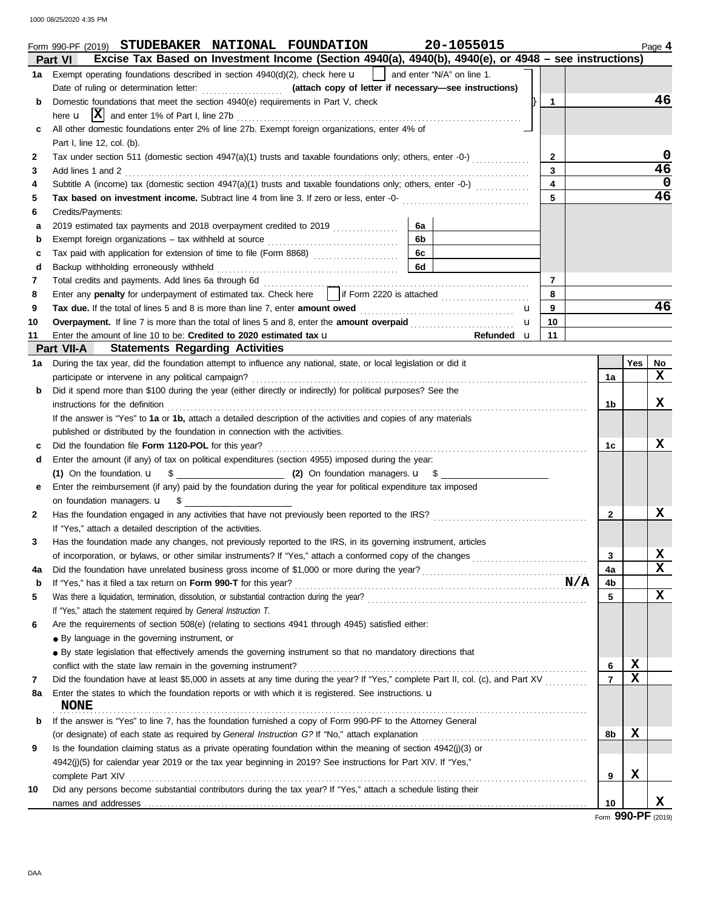1000 08/25/2020 4:35 PM

|                                                                                                                 | 20-1055015<br>Form 990-PF (2019) STUDEBAKER NATIONAL FOUNDATION<br>Excise Tax Based on Investment Income (Section 4940(a), 4940(b), 4940(e), or 4948 - see instructions)<br>Part VI |                |        | Page 4      |  |  |
|-----------------------------------------------------------------------------------------------------------------|-------------------------------------------------------------------------------------------------------------------------------------------------------------------------------------|----------------|--------|-------------|--|--|
|                                                                                                                 | 1a Exempt operating foundations described in section $4940(d)(2)$ , check here $\mathbf{u}$  <br>and enter "N/A" on line 1.                                                         |                |        |             |  |  |
|                                                                                                                 |                                                                                                                                                                                     |                |        |             |  |  |
| b                                                                                                               | Domestic foundations that meet the section 4940(e) requirements in Part V, check<br>1                                                                                               |                |        | 46          |  |  |
|                                                                                                                 | here $\mathbf{u}$ $ \mathbf{X} $ and enter 1% of Part I, line 27b                                                                                                                   |                |        |             |  |  |
|                                                                                                                 | All other domestic foundations enter 2% of line 27b. Exempt foreign organizations, enter 4% of                                                                                      |                |        |             |  |  |
|                                                                                                                 | Part I, line 12, col. (b).                                                                                                                                                          |                |        |             |  |  |
| 2                                                                                                               | Tax under section 511 (domestic section 4947(a)(1) trusts and taxable foundations only; others, enter -0-)<br>$\mathbf{2}$                                                          |                |        | 0           |  |  |
| 3                                                                                                               | 3<br>Add lines 1 and 2                                                                                                                                                              |                |        | 46          |  |  |
| 4                                                                                                               | Subtitle A (income) tax (domestic section 4947(a)(1) trusts and taxable foundations only; others, enter -0-)<br>4                                                                   |                |        | $\mathbf 0$ |  |  |
| 5                                                                                                               | 5<br>Tax based on investment income. Subtract line 4 from line 3. If zero or less, enter -0-<br>Subsection: (1)                                                                     |                |        | 46          |  |  |
| 6                                                                                                               | Credits/Payments:                                                                                                                                                                   |                |        |             |  |  |
| a                                                                                                               | 6a<br>6b                                                                                                                                                                            |                |        |             |  |  |
| b                                                                                                               | 6с<br>Tax paid with application for extension of time to file (Form 8868)                                                                                                           |                |        |             |  |  |
| c<br>d                                                                                                          | 6d<br>Backup withholding erroneously withheld                                                                                                                                       |                |        |             |  |  |
| 7                                                                                                               | $\overline{7}$                                                                                                                                                                      |                |        |             |  |  |
| 8                                                                                                               | 8                                                                                                                                                                                   |                |        |             |  |  |
| 9                                                                                                               | 9<br>u                                                                                                                                                                              |                |        | 46          |  |  |
| 10                                                                                                              | Overpayment. If line 7 is more than the total of lines 5 and 8, enter the amount overpaid<br>10<br>u                                                                                |                |        |             |  |  |
| 11                                                                                                              | Refunded u<br>11<br>Enter the amount of line 10 to be: Credited to 2020 estimated tax u                                                                                             |                |        |             |  |  |
|                                                                                                                 | <b>Part VII-A</b> Statements Regarding Activities                                                                                                                                   |                |        |             |  |  |
| 1a                                                                                                              | During the tax year, did the foundation attempt to influence any national, state, or local legislation or did it                                                                    |                | Yes    | No.         |  |  |
|                                                                                                                 | participate or intervene in any political campaign?                                                                                                                                 | 1a             |        | x           |  |  |
| b                                                                                                               | Did it spend more than \$100 during the year (either directly or indirectly) for political purposes? See the                                                                        |                |        |             |  |  |
|                                                                                                                 | instructions for the definition                                                                                                                                                     | 1b             |        | x           |  |  |
| If the answer is "Yes" to 1a or 1b, attach a detailed description of the activities and copies of any materials |                                                                                                                                                                                     |                |        |             |  |  |
|                                                                                                                 | published or distributed by the foundation in connection with the activities.                                                                                                       |                |        |             |  |  |
|                                                                                                                 | Did the foundation file Form 1120-POL for this year?                                                                                                                                | 1c             |        | x           |  |  |
| d                                                                                                               | Enter the amount (if any) of tax on political expenditures (section 4955) imposed during the year:                                                                                  |                |        |             |  |  |
|                                                                                                                 |                                                                                                                                                                                     |                |        |             |  |  |
|                                                                                                                 | Enter the reimbursement (if any) paid by the foundation during the year for political expenditure tax imposed                                                                       |                |        |             |  |  |
|                                                                                                                 | on foundation managers. $\mathbf{u}$ \$                                                                                                                                             |                |        | x           |  |  |
| 2                                                                                                               | Has the foundation engaged in any activities that have not previously been reported to the IRS?<br>If "Yes," attach a detailed description of the activities.                       | $\mathbf{2}$   |        |             |  |  |
| 3                                                                                                               | Has the foundation made any changes, not previously reported to the IRS, in its governing instrument, articles                                                                      |                |        |             |  |  |
|                                                                                                                 |                                                                                                                                                                                     | 3              |        | X           |  |  |
| 4a                                                                                                              |                                                                                                                                                                                     | 4a             |        | $\mathbf x$ |  |  |
| b                                                                                                               | N/A<br>If "Yes," has it filed a tax return on Form 990-T for this year?                                                                                                             | 4b             |        |             |  |  |
| 5                                                                                                               |                                                                                                                                                                                     | 5              |        | X           |  |  |
|                                                                                                                 | If "Yes," attach the statement required by General Instruction T.                                                                                                                   |                |        |             |  |  |
| 6                                                                                                               | Are the requirements of section 508(e) (relating to sections 4941 through 4945) satisfied either:                                                                                   |                |        |             |  |  |
|                                                                                                                 | • By language in the governing instrument, or                                                                                                                                       |                |        |             |  |  |
|                                                                                                                 | • By state legislation that effectively amends the governing instrument so that no mandatory directions that                                                                        |                |        |             |  |  |
|                                                                                                                 | conflict with the state law remain in the governing instrument?                                                                                                                     | 6              | X      |             |  |  |
| 7                                                                                                               | Did the foundation have at least \$5,000 in assets at any time during the year? If "Yes," complete Part II, col. (c), and Part XV                                                   | $\overline{7}$ | X      |             |  |  |
| 8a                                                                                                              | Enter the states to which the foundation reports or with which it is registered. See instructions. <b>u</b>                                                                         |                |        |             |  |  |
|                                                                                                                 | <b>NONE</b>                                                                                                                                                                         |                |        |             |  |  |
| b                                                                                                               | If the answer is "Yes" to line 7, has the foundation furnished a copy of Form 990-PF to the Attorney General                                                                        |                |        |             |  |  |
|                                                                                                                 | (or designate) of each state as required by General Instruction G? If "No," attach explanation                                                                                      | 8b             | X      |             |  |  |
| 9                                                                                                               | Is the foundation claiming status as a private operating foundation within the meaning of section 4942(j)(3) or                                                                     |                |        |             |  |  |
|                                                                                                                 | 4942(j)(5) for calendar year 2019 or the tax year beginning in 2019? See instructions for Part XIV. If "Yes,"                                                                       |                |        |             |  |  |
|                                                                                                                 | complete Part XIV                                                                                                                                                                   | 9              | х      |             |  |  |
| 10                                                                                                              | Did any persons become substantial contributors during the tax year? If "Yes," attach a schedule listing their                                                                      |                |        | X.          |  |  |
|                                                                                                                 |                                                                                                                                                                                     | 10             | 000 DE |             |  |  |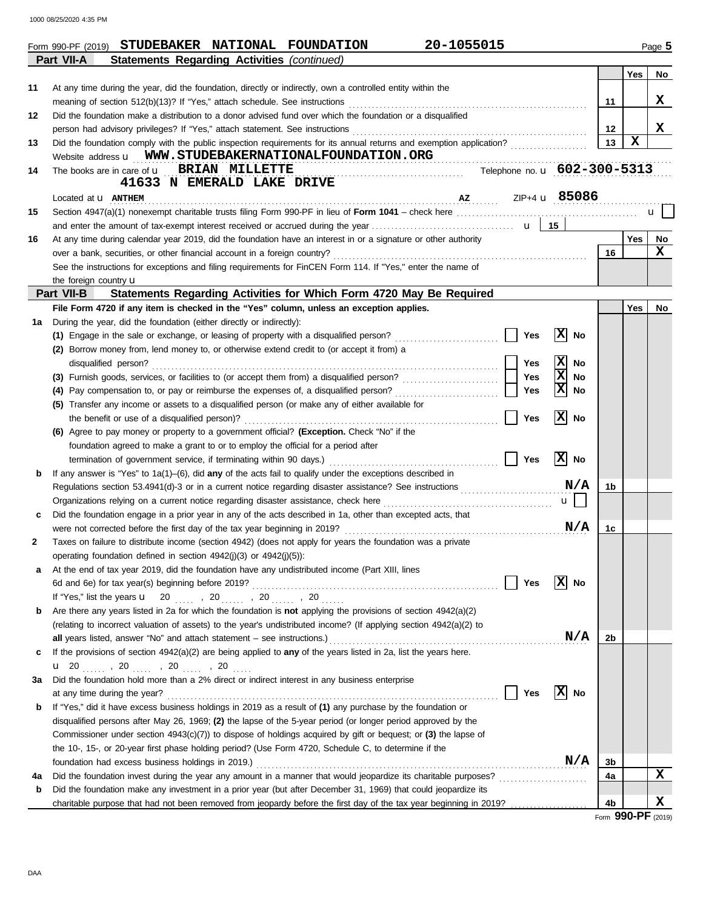1000 08/25/2020 4:35 PM

|    | 20-1055015<br>Form 990-PF (2019) STUDEBAKER NATIONAL FOUNDATION                                                     |    |             | Page 5       |
|----|---------------------------------------------------------------------------------------------------------------------|----|-------------|--------------|
|    | Part VII-A<br><b>Statements Regarding Activities (continued)</b>                                                    |    |             |              |
|    |                                                                                                                     |    | Yes         | No           |
| 11 | At any time during the year, did the foundation, directly or indirectly, own a controlled entity within the         |    |             |              |
|    |                                                                                                                     | 11 |             | X            |
| 12 | Did the foundation make a distribution to a donor advised fund over which the foundation or a disqualified          |    |             |              |
|    | person had advisory privileges? If "Yes," attach statement. See instructions                                        | 12 |             | x            |
| 13 | Did the foundation comply with the public inspection requirements for its annual returns and exemption application? | 13 | $\mathbf x$ |              |
|    | Website address <b>u</b> WWW.STUDEBAKERNATIONALFOUNDATION.ORG                                                       |    |             |              |
| 14 | Telephone no. u 602-300-5313<br>The books are in care of <b>u</b> BRIAN MILLETTE                                    |    |             |              |
|    | 41633 N EMERALD LAKE DRIVE                                                                                          |    |             |              |
|    | ZIP+4 <b>u</b> 85086<br>Located at <b>u</b> ANTHEM                                                                  |    |             |              |
| 15 |                                                                                                                     |    |             | $\mathbf{u}$ |
|    |                                                                                                                     |    |             |              |
| 16 | At any time during calendar year 2019, did the foundation have an interest in or a signature or other authority     |    | <b>Yes</b>  | No           |
|    | over a bank, securities, or other financial account in a foreign country?                                           | 16 |             | x            |
|    | See the instructions for exceptions and filing requirements for FinCEN Form 114. If "Yes," enter the name of        |    |             |              |
|    | the foreign country u                                                                                               |    |             |              |
|    | Part VII-B<br>Statements Regarding Activities for Which Form 4720 May Be Required                                   |    |             |              |
|    | File Form 4720 if any item is checked in the "Yes" column, unless an exception applies.                             |    | Yes         | No           |
| 1a | During the year, did the foundation (either directly or indirectly):                                                |    |             |              |
|    | X <br>(1) Engage in the sale or exchange, or leasing of property with a disqualified person?<br>Yes<br>No           |    |             |              |
|    | (2) Borrow money from, lend money to, or otherwise extend credit to (or accept it from) a                           |    |             |              |
|    | $\vert x \vert$<br>disqualified person?<br>Yes<br>No                                                                |    |             |              |
|    | 区<br>Yes<br>(3) Furnish goods, services, or facilities to (or accept them from) a disqualified person?<br>No        |    |             |              |
|    | x<br>(4) Pay compensation to, or pay or reimburse the expenses of, a disqualified person?<br>Yes<br>No              |    |             |              |
|    | (5) Transfer any income or assets to a disqualified person (or make any of either available for                     |    |             |              |
|    | x <br>Yes<br>No<br>the benefit or use of a disqualified person)?                                                    |    |             |              |
|    | (6) Agree to pay money or property to a government official? (Exception. Check "No" if the                          |    |             |              |
|    | foundation agreed to make a grant to or to employ the official for a period after                                   |    |             |              |
|    | Ixl<br>Yes<br>No<br>termination of government service, if terminating within 90 days.)                              |    |             |              |
| b  | If any answer is "Yes" to $1a(1)$ –(6), did any of the acts fail to qualify under the exceptions described in       |    |             |              |
|    | N/A<br>Regulations section 53.4941(d)-3 or in a current notice regarding disaster assistance? See instructions      | 1b |             |              |
|    | Organizations relying on a current notice regarding disaster assistance, check here<br>$\mathbf{u}$                 |    |             |              |
| с  | Did the foundation engage in a prior year in any of the acts described in 1a, other than excepted acts, that        |    |             |              |
|    | N/A<br>were not corrected before the first day of the tax year beginning in 2019?                                   | 1c |             |              |
| 2  | Taxes on failure to distribute income (section 4942) (does not apply for years the foundation was a private         |    |             |              |
|    | operating foundation defined in section 4942(j)(3) or 4942(j)(5)):                                                  |    |             |              |
| а  | At the end of tax year 2019, did the foundation have any undistributed income (Part XIII, lines                     |    |             |              |
|    | X <br>Yes<br>No                                                                                                     |    |             |              |
|    | If "Yes," list the years $\mathbf{u}$ 20 , 20 , 20 , 20                                                             |    |             |              |
| b  | Are there any years listed in 2a for which the foundation is not applying the provisions of section 4942(a)(2)      |    |             |              |
|    | (relating to incorrect valuation of assets) to the year's undistributed income? (If applying section 4942(a)(2) to  |    |             |              |
|    | N/A                                                                                                                 | 2b |             |              |
| c  | If the provisions of section 4942(a)(2) are being applied to any of the years listed in 2a, list the years here.    |    |             |              |
|    | <b>u</b> 20, $20$ , $20$ , $20$ , $20$ , $20$                                                                       |    |             |              |
| За | Did the foundation hold more than a 2% direct or indirect interest in any business enterprise                       |    |             |              |
|    | X <br>Yes<br>No<br>at any time during the year?                                                                     |    |             |              |
| b  | If "Yes," did it have excess business holdings in 2019 as a result of (1) any purchase by the foundation or         |    |             |              |
|    |                                                                                                                     |    |             |              |
|    | disqualified persons after May 26, 1969; (2) the lapse of the 5-year period (or longer period approved by the       |    |             |              |
|    | Commissioner under section $4943(c)(7)$ to dispose of holdings acquired by gift or bequest; or (3) the lapse of     |    |             |              |
|    | the 10-, 15-, or 20-year first phase holding period? (Use Form 4720, Schedule C, to determine if the                |    |             |              |
|    | N/A<br>foundation had excess business holdings in 2019.)                                                            | 3b |             | $\mathbf x$  |
| 4a | Did the foundation invest during the year any amount in a manner that would jeopardize its charitable purposes?     | 4a |             |              |
| b  | Did the foundation make any investment in a prior year (but after December 31, 1969) that could jeopardize its      |    |             |              |
|    | charitable purpose that had not been removed from jeopardy before the first day of the tax year beginning in 2019?  | 4b |             | X            |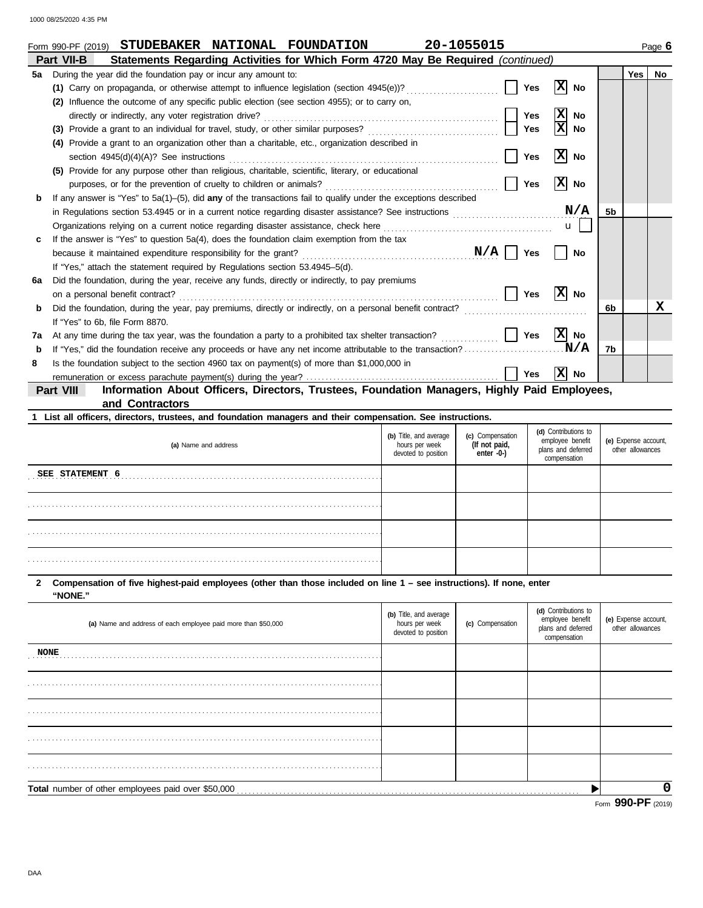|    | Form 990-PF (2019)                                                           |                 | STUDEBAKER NATIONAL FOUNDATION                                                                       | 20-1055015                                                                                                                                                                                                                     |            |                 |                |            | Page 6 |
|----|------------------------------------------------------------------------------|-----------------|------------------------------------------------------------------------------------------------------|--------------------------------------------------------------------------------------------------------------------------------------------------------------------------------------------------------------------------------|------------|-----------------|----------------|------------|--------|
|    | <b>Part VII-B</b>                                                            |                 |                                                                                                      | Statements Regarding Activities for Which Form 4720 May Be Required (continued)                                                                                                                                                |            |                 |                |            |        |
| 5а | During the year did the foundation pay or incur any amount to:               |                 |                                                                                                      |                                                                                                                                                                                                                                |            |                 |                | <b>Yes</b> | No     |
|    |                                                                              |                 |                                                                                                      | (1) Carry on propaganda, or otherwise attempt to influence legislation (section 4945(e))?                                                                                                                                      | Yes        | X <br>No        |                |            |        |
|    | (2)                                                                          |                 | Influence the outcome of any specific public election (see section 4955); or to carry on,            |                                                                                                                                                                                                                                |            |                 |                |            |        |
|    | directly or indirectly, any voter registration drive?                        |                 |                                                                                                      |                                                                                                                                                                                                                                | <b>Yes</b> | Ιx<br>No        |                |            |        |
|    | (3)                                                                          |                 |                                                                                                      | Provide a grant to an individual for travel, study, or other similar purposes?                                                                                                                                                 | <b>Yes</b> | x <br>No        |                |            |        |
|    |                                                                              |                 | Provide a grant to an organization other than a charitable, etc., organization described in          |                                                                                                                                                                                                                                |            |                 |                |            |        |
|    | section $4945(d)(4)(A)?$ See instructions                                    |                 |                                                                                                      |                                                                                                                                                                                                                                | Yes        | X<br>No         |                |            |        |
|    |                                                                              |                 | (5) Provide for any purpose other than religious, charitable, scientific, literary, or educational   |                                                                                                                                                                                                                                |            |                 |                |            |        |
|    | purposes, or for the prevention of cruelty to children or animals?           |                 |                                                                                                      |                                                                                                                                                                                                                                | <b>Yes</b> | X <br><b>No</b> |                |            |        |
| b  |                                                                              |                 |                                                                                                      | If any answer is "Yes" to $5a(1)$ –(5), did any of the transactions fail to qualify under the exceptions described                                                                                                             |            |                 |                |            |        |
|    |                                                                              |                 |                                                                                                      |                                                                                                                                                                                                                                |            | N/A             | 5 <sub>b</sub> |            |        |
|    |                                                                              |                 |                                                                                                      | Organizations relying on a current notice regarding disaster assistance, check here contract contract contract contract or or a current metal or assistance, check here contract contract or an analyzing or an analyzing or a |            | $\mathbf{u}$    |                |            |        |
| c  |                                                                              |                 | If the answer is "Yes" to question 5a(4), does the foundation claim exemption from the tax           |                                                                                                                                                                                                                                |            |                 |                |            |        |
|    | because it maintained expenditure responsibility for the grant?              |                 |                                                                                                      | $N/A$ $\boxed{}$                                                                                                                                                                                                               | <b>Yes</b> | <b>No</b>       |                |            |        |
|    | If "Yes," attach the statement required by Regulations section 53.4945–5(d). |                 |                                                                                                      |                                                                                                                                                                                                                                |            |                 |                |            |        |
| 6a |                                                                              |                 | Did the foundation, during the year, receive any funds, directly or indirectly, to pay premiums      |                                                                                                                                                                                                                                |            |                 |                |            |        |
|    | on a personal benefit contract?                                              |                 |                                                                                                      |                                                                                                                                                                                                                                | Yes        | x <br>No        |                |            |        |
| b  |                                                                              |                 |                                                                                                      |                                                                                                                                                                                                                                |            |                 | 6b             |            | x      |
|    | If "Yes" to 6b. file Form 8870.                                              |                 |                                                                                                      |                                                                                                                                                                                                                                |            |                 |                |            |        |
| 7a |                                                                              |                 | At any time during the tax year, was the foundation a party to a prohibited tax shelter transaction? |                                                                                                                                                                                                                                | Yes        | X No            |                |            |        |
| b  |                                                                              |                 |                                                                                                      | If "Yes," did the foundation receive any proceeds or have any net income attributable to the transaction?                                                                                                                      |            | .N/A            | 7b             |            |        |
| 8  |                                                                              |                 | Is the foundation subject to the section 4960 tax on payment(s) of more than \$1,000,000 in          |                                                                                                                                                                                                                                |            |                 |                |            |        |
|    |                                                                              |                 |                                                                                                      |                                                                                                                                                                                                                                | Yes        | x <br>No        |                |            |        |
|    | <b>Part VIII</b>                                                             |                 |                                                                                                      | Information About Officers, Directors, Trustees, Foundation Managers, Highly Paid Employees,                                                                                                                                   |            |                 |                |            |        |
|    |                                                                              | and Contractors |                                                                                                      |                                                                                                                                                                                                                                |            |                 |                |            |        |

**1 List all officers, directors, trustees, and foundation managers and their compensation. See instructions.**

| (a) Name and address | (b) Title, and average<br>hours per week<br>devoted to position | (c) Compensation<br>(If not paid,<br>enter -0-) | (d) Contributions to<br>employee benefit<br>plans and deferred<br>compensation | (e) Expense account,<br>other allowances |
|----------------------|-----------------------------------------------------------------|-------------------------------------------------|--------------------------------------------------------------------------------|------------------------------------------|
| SEE STATEMENT 6      |                                                                 |                                                 |                                                                                |                                          |
|                      |                                                                 |                                                 |                                                                                |                                          |
|                      |                                                                 |                                                 |                                                                                |                                          |
|                      |                                                                 |                                                 |                                                                                |                                          |

### **2 Compensation of five highest-paid employees (other than those included on line 1 – see instructions). If none, enter "NONE."**

| (a) Name and address of each employee paid more than \$50,000 | (b) Title, and average<br>hours per week<br>devoted to position | (c) Compensation | (d) Contributions to<br>employee benefit<br>plans and deferred<br>compensation | (e) Expense account,<br>other allowances |
|---------------------------------------------------------------|-----------------------------------------------------------------|------------------|--------------------------------------------------------------------------------|------------------------------------------|
| <b>NONE</b>                                                   |                                                                 |                  |                                                                                |                                          |
|                                                               |                                                                 |                  |                                                                                |                                          |
|                                                               |                                                                 |                  |                                                                                |                                          |
|                                                               |                                                                 |                  |                                                                                |                                          |
|                                                               |                                                                 |                  |                                                                                |                                          |
| Total number of other employees paid over \$50,000            |                                                                 |                  |                                                                                | 0                                        |
|                                                               |                                                                 |                  |                                                                                | Form 990-PF (2019)                       |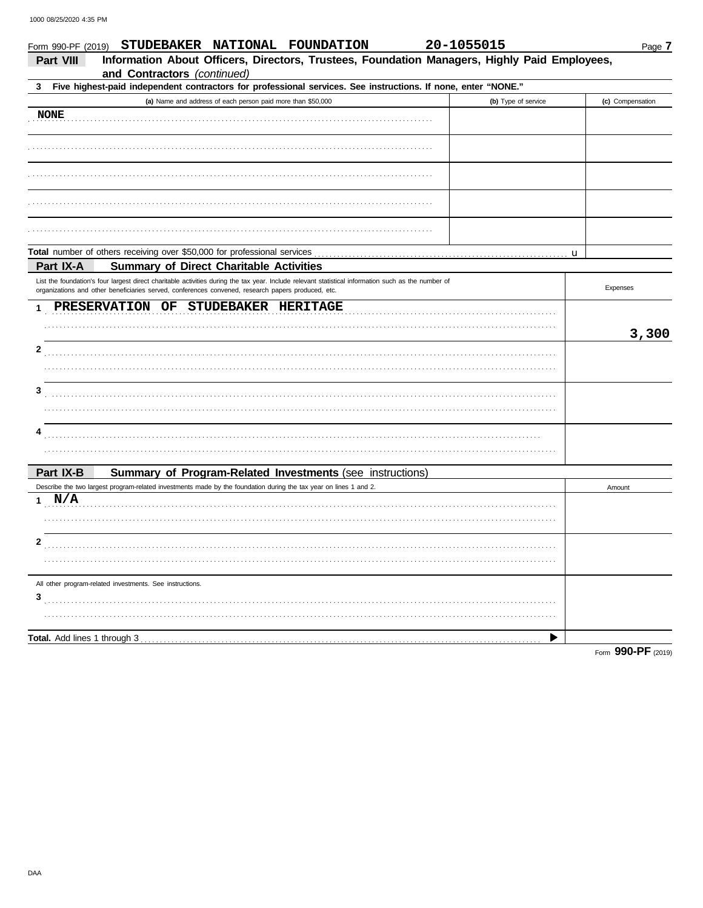|             | STUDEBAKER NATIONAL FOUNDATION<br>Form 990-PF (2019)                                                                                                                                                                                                      | 20-1055015          | Page 7           |
|-------------|-----------------------------------------------------------------------------------------------------------------------------------------------------------------------------------------------------------------------------------------------------------|---------------------|------------------|
| Part VIII   | Information About Officers, Directors, Trustees, Foundation Managers, Highly Paid Employees,                                                                                                                                                              |                     |                  |
| 3           | and Contractors (continued)<br>Five highest-paid independent contractors for professional services. See instructions. If none, enter "NONE."                                                                                                              |                     |                  |
|             | (a) Name and address of each person paid more than \$50,000                                                                                                                                                                                               | (b) Type of service | (c) Compensation |
| <b>NONE</b> |                                                                                                                                                                                                                                                           |                     |                  |
|             |                                                                                                                                                                                                                                                           |                     |                  |
|             |                                                                                                                                                                                                                                                           |                     |                  |
|             |                                                                                                                                                                                                                                                           |                     |                  |
|             |                                                                                                                                                                                                                                                           |                     |                  |
|             |                                                                                                                                                                                                                                                           |                     |                  |
|             | Total number of others receiving over \$50,000 for professional services                                                                                                                                                                                  | u                   |                  |
| Part IX-A   | <b>Summary of Direct Charitable Activities</b>                                                                                                                                                                                                            |                     |                  |
|             | List the foundation's four largest direct charitable activities during the tax year. Include relevant statistical information such as the number of<br>organizations and other beneficiaries served, conferences convened, research papers produced, etc. |                     | Expenses         |
|             | PRESERVATION OF<br><b>STUDEBAKER</b><br><b>HERITAGE</b>                                                                                                                                                                                                   |                     |                  |
|             |                                                                                                                                                                                                                                                           |                     |                  |
|             |                                                                                                                                                                                                                                                           |                     | 3,300            |
| 2           |                                                                                                                                                                                                                                                           |                     |                  |
|             |                                                                                                                                                                                                                                                           |                     |                  |
| 3           |                                                                                                                                                                                                                                                           |                     |                  |
|             |                                                                                                                                                                                                                                                           |                     |                  |
| 4           |                                                                                                                                                                                                                                                           |                     |                  |
|             |                                                                                                                                                                                                                                                           |                     |                  |
| Part IX-B   | Summary of Program-Related Investments (see instructions)                                                                                                                                                                                                 |                     |                  |
| N/A<br>1    | Describe the two largest program-related investments made by the foundation during the tax year on lines 1 and 2.                                                                                                                                         |                     | Amount           |
|             |                                                                                                                                                                                                                                                           |                     |                  |
|             |                                                                                                                                                                                                                                                           |                     |                  |
| 2           |                                                                                                                                                                                                                                                           |                     |                  |
|             |                                                                                                                                                                                                                                                           |                     |                  |
|             |                                                                                                                                                                                                                                                           |                     |                  |
|             | All other program-related investments. See instructions.                                                                                                                                                                                                  |                     |                  |
| 3           |                                                                                                                                                                                                                                                           |                     |                  |
|             |                                                                                                                                                                                                                                                           |                     |                  |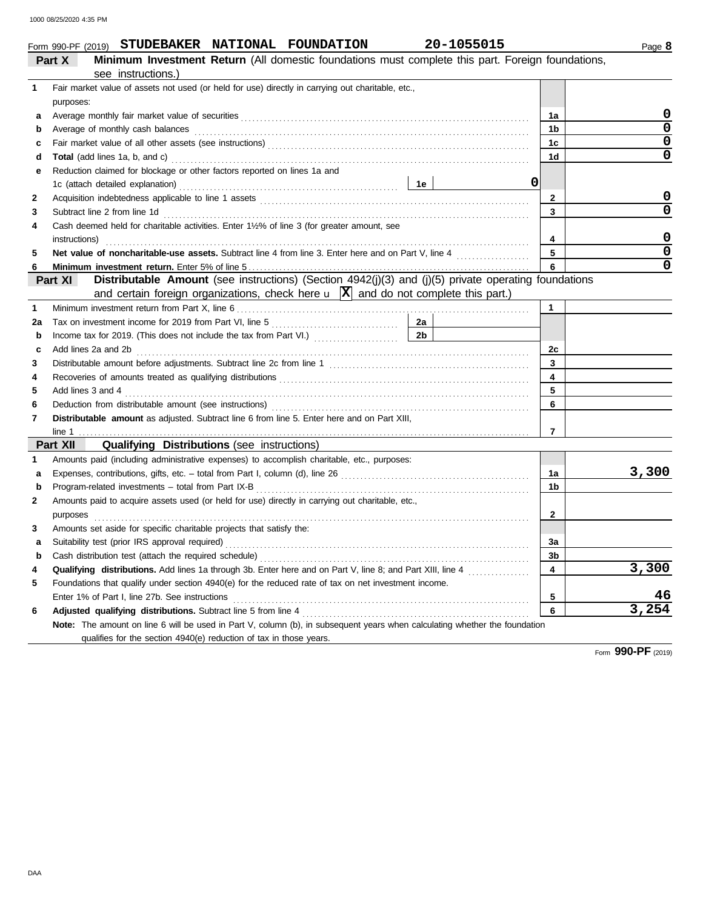|  |  | Form 990-PF (2019) STUDEBAKER NATIONAL FOUNDATION | 20-1055015 |
|--|--|---------------------------------------------------|------------|
|  |  |                                                   |            |

|              | <b>Minimum Investment Return</b> (All domestic foundations must complete this part. Foreign foundations,<br>Part X                      |                         |                         |
|--------------|-----------------------------------------------------------------------------------------------------------------------------------------|-------------------------|-------------------------|
|              | see instructions.)                                                                                                                      |                         |                         |
| 1            | Fair market value of assets not used (or held for use) directly in carrying out charitable, etc.,                                       |                         |                         |
|              | purposes:                                                                                                                               |                         |                         |
| a            |                                                                                                                                         | 1a                      | 0                       |
| b            | Average of monthly cash balances expressions are considered as a set of monthly cash balances                                           | 1b                      | $\overline{0}$          |
| c            |                                                                                                                                         | 1 <sub>c</sub>          | $\overline{\mathbf{0}}$ |
| d            |                                                                                                                                         | 1d                      | $\mathbf 0$             |
| е            | Reduction claimed for blockage or other factors reported on lines 1a and                                                                |                         |                         |
|              | $\mathbf 0$                                                                                                                             |                         |                         |
| 2            |                                                                                                                                         | $\mathbf{2}$            | 0                       |
| 3            | Subtract line 2 from line 1d <b>Mature 2</b> from line 1d                                                                               | 3                       | $\mathbf 0$             |
| 4            | Cash deemed held for charitable activities. Enter 11/2% of line 3 (for greater amount, see                                              |                         |                         |
|              | instructions)                                                                                                                           | 4                       | 0                       |
| 5            |                                                                                                                                         | 5                       | $\overline{\mathbf{0}}$ |
| 6            |                                                                                                                                         | 6                       | $\overline{0}$          |
|              | Distributable Amount (see instructions) (Section 4942(j)(3) and (j)(5) private operating foundations<br>Part XI                         |                         |                         |
|              | and certain foreign organizations, check here $\mathbf{u}$ $ \mathbf{X} $ and do not complete this part.)                               |                         |                         |
| 1            |                                                                                                                                         | $\mathbf{1}$            |                         |
| 2a           | 2a                                                                                                                                      |                         |                         |
| b            | 2 <sub>b</sub>                                                                                                                          |                         |                         |
| c            |                                                                                                                                         | 2c                      |                         |
| 3            |                                                                                                                                         | 3                       |                         |
| 4            |                                                                                                                                         | $\overline{\mathbf{4}}$ |                         |
| 5            | Add lines 3 and 4                                                                                                                       | 5                       |                         |
| 6            |                                                                                                                                         | 6                       |                         |
| 7            | Distributable amount as adjusted. Subtract line 6 from line 5. Enter here and on Part XIII,                                             |                         |                         |
|              |                                                                                                                                         | $\overline{7}$          |                         |
|              | <b>Qualifying Distributions (see instructions)</b><br>Part XII                                                                          |                         |                         |
| 1            | Amounts paid (including administrative expenses) to accomplish charitable, etc., purposes:                                              |                         |                         |
| а            |                                                                                                                                         | 1a                      | 3,300                   |
| b            |                                                                                                                                         | 1 <sub>b</sub>          |                         |
| $\mathbf{2}$ | Amounts paid to acquire assets used (or held for use) directly in carrying out charitable, etc.,                                        |                         |                         |
|              | purposes                                                                                                                                | $\mathbf{2}$            |                         |
| 3            | Amounts set aside for specific charitable projects that satisfy the:                                                                    |                         |                         |
| a            |                                                                                                                                         | За                      |                         |
| b            |                                                                                                                                         | 3 <sub>b</sub>          |                         |
| 4            | Qualifying distributions. Add lines 1a through 3b. Enter here and on Part V, line 8; and Part XIII, line 4                              | 4                       | 3,300                   |
| 5            | Foundations that qualify under section 4940(e) for the reduced rate of tax on net investment income.                                    |                         |                         |
|              | Enter 1% of Part I, line 27b. See instructions                                                                                          | 5                       | 46                      |
| 6            | Adjusted qualifying distributions. Subtract line 5 from line 4 [11] [11] Adjusted qualifying distributions. Subtract line 5 from line 4 | 6                       | $\overline{3}$ , 254    |
|              | Note: The amount on line 6 will be used in Part V, column (b), in subsequent years when calculating whether the foundation              |                         |                         |
|              | qualifies for the section 4940(e) reduction of tax in those years.                                                                      |                         |                         |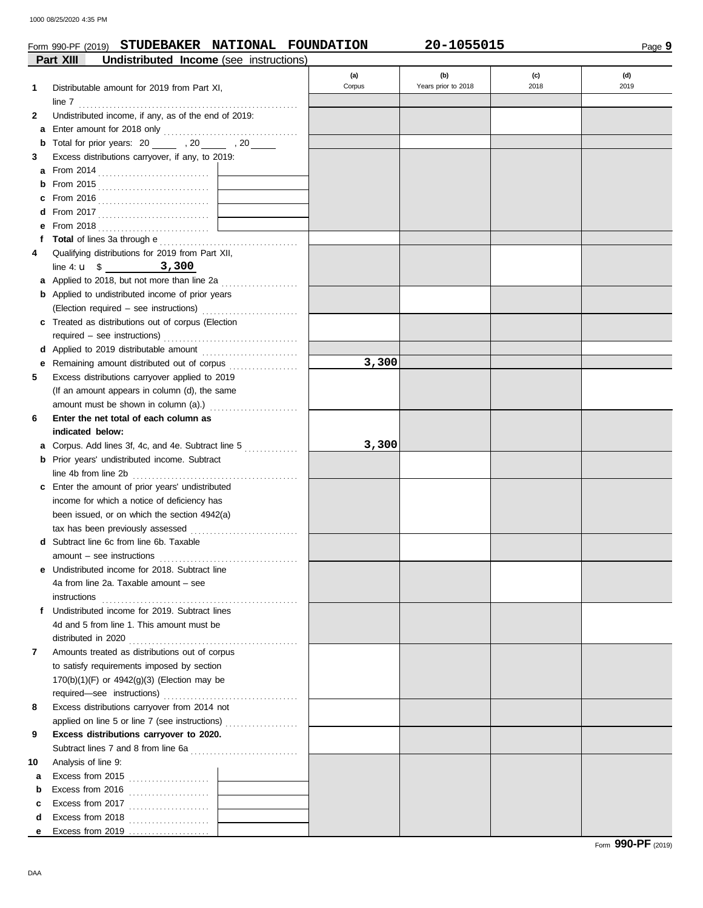### Form 990-PF (2019) **STUDEBAKER NATIONAL FOUNDATION 20-1055015**

|    | Part XIII<br>Undistributed Income (see instructions)                                                                                                                                                                                                                                                                                                                                                                                                                                                                  |        |                     |      |      |
|----|-----------------------------------------------------------------------------------------------------------------------------------------------------------------------------------------------------------------------------------------------------------------------------------------------------------------------------------------------------------------------------------------------------------------------------------------------------------------------------------------------------------------------|--------|---------------------|------|------|
|    |                                                                                                                                                                                                                                                                                                                                                                                                                                                                                                                       | (a)    | (b)                 | (c)  | (d)  |
| 1  | Distributable amount for 2019 from Part XI,                                                                                                                                                                                                                                                                                                                                                                                                                                                                           | Corpus | Years prior to 2018 | 2018 | 2019 |
|    | line 7 $\ldots$ . $\ldots$ . $\ldots$ . $\ldots$ . $\ldots$ . $\ldots$ . $\ldots$ . $\ldots$ . $\ldots$ . $\ldots$                                                                                                                                                                                                                                                                                                                                                                                                    |        |                     |      |      |
| 2  | Undistributed income, if any, as of the end of 2019:                                                                                                                                                                                                                                                                                                                                                                                                                                                                  |        |                     |      |      |
| a  |                                                                                                                                                                                                                                                                                                                                                                                                                                                                                                                       |        |                     |      |      |
| b  | Total for prior years: 20 _______ , 20 _____ , 20 _____                                                                                                                                                                                                                                                                                                                                                                                                                                                               |        |                     |      |      |
| 3  | Excess distributions carryover, if any, to 2019:                                                                                                                                                                                                                                                                                                                                                                                                                                                                      |        |                     |      |      |
| a  | From 2014 $\ldots$                                                                                                                                                                                                                                                                                                                                                                                                                                                                                                    |        |                     |      |      |
| b  |                                                                                                                                                                                                                                                                                                                                                                                                                                                                                                                       |        |                     |      |      |
| c  |                                                                                                                                                                                                                                                                                                                                                                                                                                                                                                                       |        |                     |      |      |
| d  |                                                                                                                                                                                                                                                                                                                                                                                                                                                                                                                       |        |                     |      |      |
| е  |                                                                                                                                                                                                                                                                                                                                                                                                                                                                                                                       |        |                     |      |      |
|    |                                                                                                                                                                                                                                                                                                                                                                                                                                                                                                                       |        |                     |      |      |
| 4  | Qualifying distributions for 2019 from Part XII,                                                                                                                                                                                                                                                                                                                                                                                                                                                                      |        |                     |      |      |
|    |                                                                                                                                                                                                                                                                                                                                                                                                                                                                                                                       |        |                     |      |      |
|    | a Applied to 2018, but not more than line 2a                                                                                                                                                                                                                                                                                                                                                                                                                                                                          |        |                     |      |      |
|    | <b>b</b> Applied to undistributed income of prior years                                                                                                                                                                                                                                                                                                                                                                                                                                                               |        |                     |      |      |
|    |                                                                                                                                                                                                                                                                                                                                                                                                                                                                                                                       |        |                     |      |      |
|    | c Treated as distributions out of corpus (Election                                                                                                                                                                                                                                                                                                                                                                                                                                                                    |        |                     |      |      |
|    |                                                                                                                                                                                                                                                                                                                                                                                                                                                                                                                       |        |                     |      |      |
|    |                                                                                                                                                                                                                                                                                                                                                                                                                                                                                                                       |        |                     |      |      |
| е  | Remaining amount distributed out of corpus                                                                                                                                                                                                                                                                                                                                                                                                                                                                            | 3,300  |                     |      |      |
| 5  | Excess distributions carryover applied to 2019                                                                                                                                                                                                                                                                                                                                                                                                                                                                        |        |                     |      |      |
|    | (If an amount appears in column (d), the same                                                                                                                                                                                                                                                                                                                                                                                                                                                                         |        |                     |      |      |
|    |                                                                                                                                                                                                                                                                                                                                                                                                                                                                                                                       |        |                     |      |      |
| 6  | Enter the net total of each column as                                                                                                                                                                                                                                                                                                                                                                                                                                                                                 |        |                     |      |      |
|    | indicated below:                                                                                                                                                                                                                                                                                                                                                                                                                                                                                                      |        |                     |      |      |
| а  | Corpus. Add lines 3f, 4c, and 4e. Subtract line 5                                                                                                                                                                                                                                                                                                                                                                                                                                                                     | 3,300  |                     |      |      |
| b  | Prior years' undistributed income. Subtract                                                                                                                                                                                                                                                                                                                                                                                                                                                                           |        |                     |      |      |
|    |                                                                                                                                                                                                                                                                                                                                                                                                                                                                                                                       |        |                     |      |      |
|    | c Enter the amount of prior years' undistributed                                                                                                                                                                                                                                                                                                                                                                                                                                                                      |        |                     |      |      |
|    | income for which a notice of deficiency has                                                                                                                                                                                                                                                                                                                                                                                                                                                                           |        |                     |      |      |
|    | been issued, or on which the section 4942(a)                                                                                                                                                                                                                                                                                                                                                                                                                                                                          |        |                     |      |      |
|    |                                                                                                                                                                                                                                                                                                                                                                                                                                                                                                                       |        |                     |      |      |
| d  | Subtract line 6c from line 6b. Taxable                                                                                                                                                                                                                                                                                                                                                                                                                                                                                |        |                     |      |      |
|    | $amount - see instructions$                                                                                                                                                                                                                                                                                                                                                                                                                                                                                           |        |                     |      |      |
|    | <b>e</b> Undistributed income for 2018. Subtract line                                                                                                                                                                                                                                                                                                                                                                                                                                                                 |        |                     |      |      |
|    | 4a from line 2a. Taxable amount – see                                                                                                                                                                                                                                                                                                                                                                                                                                                                                 |        |                     |      |      |
|    | $\begin{minipage}[c]{0.9\linewidth} \begin{minipage}[c]{0.9\linewidth} \begin{minipage}[c]{0.9\linewidth} \begin{minipage}[c]{0.9\linewidth} \begin{minipage}[c]{0.9\linewidth} \end{minipage}[c]{0.9\linewidth} \end{minipage}[c]{0.9\linewidth} \begin{minipage}[c]{0.9\linewidth} \begin{minipage}[c]{0.9\linewidth} \end{minipage}[c]{0.9\linewidth} \end{minipage}[c]{0.9\linewidth} \begin{minipage}[c]{0.9\linewidth} \begin{minipage}[c]{0.9\linewidth} \end{minipage}[c]{0.9\linewidth} \end{minipage}[c]{0$ |        |                     |      |      |
|    | f Undistributed income for 2019. Subtract lines                                                                                                                                                                                                                                                                                                                                                                                                                                                                       |        |                     |      |      |
|    | 4d and 5 from line 1. This amount must be                                                                                                                                                                                                                                                                                                                                                                                                                                                                             |        |                     |      |      |
| 7  | Amounts treated as distributions out of corpus                                                                                                                                                                                                                                                                                                                                                                                                                                                                        |        |                     |      |      |
|    |                                                                                                                                                                                                                                                                                                                                                                                                                                                                                                                       |        |                     |      |      |
|    | to satisfy requirements imposed by section<br>170(b)(1)(F) or 4942(g)(3) (Election may be                                                                                                                                                                                                                                                                                                                                                                                                                             |        |                     |      |      |
|    |                                                                                                                                                                                                                                                                                                                                                                                                                                                                                                                       |        |                     |      |      |
| 8  | Excess distributions carryover from 2014 not                                                                                                                                                                                                                                                                                                                                                                                                                                                                          |        |                     |      |      |
|    | applied on line 5 or line 7 (see instructions)                                                                                                                                                                                                                                                                                                                                                                                                                                                                        |        |                     |      |      |
| 9  | Excess distributions carryover to 2020.                                                                                                                                                                                                                                                                                                                                                                                                                                                                               |        |                     |      |      |
|    |                                                                                                                                                                                                                                                                                                                                                                                                                                                                                                                       |        |                     |      |      |
| 10 | Analysis of line 9:                                                                                                                                                                                                                                                                                                                                                                                                                                                                                                   |        |                     |      |      |
| a  | Excess from 2015 $\ldots$                                                                                                                                                                                                                                                                                                                                                                                                                                                                                             |        |                     |      |      |
| b  | Excess from 2016 $\ldots$                                                                                                                                                                                                                                                                                                                                                                                                                                                                                             |        |                     |      |      |
| c  | Excess from 2017 $\ldots$                                                                                                                                                                                                                                                                                                                                                                                                                                                                                             |        |                     |      |      |
| d  | Excess from 2018 $\ldots$                                                                                                                                                                                                                                                                                                                                                                                                                                                                                             |        |                     |      |      |
| е  |                                                                                                                                                                                                                                                                                                                                                                                                                                                                                                                       |        |                     |      |      |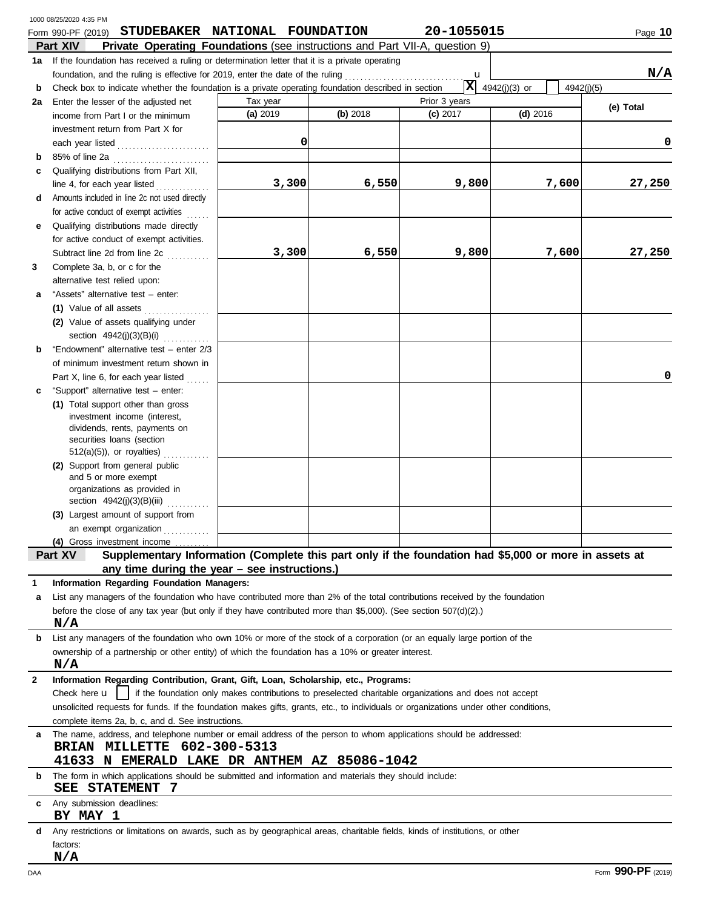|              | 1000 08/25/2020 4:35 PM                                                                                                                                                             |          |          |                                                                                                        |                             |           |
|--------------|-------------------------------------------------------------------------------------------------------------------------------------------------------------------------------------|----------|----------|--------------------------------------------------------------------------------------------------------|-----------------------------|-----------|
|              | STUDEBAKER NATIONAL FOUNDATION<br>Form 990-PF (2019)                                                                                                                                |          |          | 20-1055015                                                                                             |                             | Page 10   |
|              | Part XIV<br><b>Private Operating Foundations</b> (see instructions and Part VII-A, question 9)                                                                                      |          |          |                                                                                                        |                             |           |
|              | 1a If the foundation has received a ruling or determination letter that it is a private operating<br>foundation, and the ruling is effective for 2019, enter the date of the ruling |          |          | u                                                                                                      |                             | N/A       |
| b            | Check box to indicate whether the foundation is a private operating foundation described in section                                                                                 |          |          | $\mathbf{x}$                                                                                           | 4942(j)(3) or<br>4942(j)(5) |           |
| 2a           | Enter the lesser of the adjusted net                                                                                                                                                | Tax year |          | Prior 3 years                                                                                          |                             |           |
|              | income from Part I or the minimum                                                                                                                                                   | (a) 2019 | (b) 2018 | $(c)$ 2017                                                                                             | $(d)$ 2016                  | (e) Total |
|              | investment return from Part X for                                                                                                                                                   |          |          |                                                                                                        |                             |           |
|              | each year listed                                                                                                                                                                    | 0        |          |                                                                                                        |                             | 0         |
| b            | 85% of line 2a                                                                                                                                                                      |          |          |                                                                                                        |                             |           |
| c            | Qualifying distributions from Part XII,                                                                                                                                             |          |          |                                                                                                        |                             |           |
|              | line 4, for each year listed                                                                                                                                                        | 3,300    | 6,550    | 9,800                                                                                                  | 7,600                       | 27,250    |
| d            | Amounts included in line 2c not used directly                                                                                                                                       |          |          |                                                                                                        |                             |           |
|              | for active conduct of exempt activities                                                                                                                                             |          |          |                                                                                                        |                             |           |
| е            | Qualifying distributions made directly                                                                                                                                              |          |          |                                                                                                        |                             |           |
|              | for active conduct of exempt activities.                                                                                                                                            |          |          |                                                                                                        |                             |           |
|              | Subtract line 2d from line 2c                                                                                                                                                       | 3,300    | 6,550    | 9,800                                                                                                  | 7,600                       | 27,250    |
| 3            | Complete 3a, b, or c for the                                                                                                                                                        |          |          |                                                                                                        |                             |           |
|              | alternative test relied upon:                                                                                                                                                       |          |          |                                                                                                        |                             |           |
| a            | "Assets" alternative test - enter:                                                                                                                                                  |          |          |                                                                                                        |                             |           |
|              | (1) Value of all assets                                                                                                                                                             |          |          |                                                                                                        |                             |           |
|              | (2) Value of assets qualifying under                                                                                                                                                |          |          |                                                                                                        |                             |           |
|              | section 4942(j)(3)(B)(i)                                                                                                                                                            |          |          |                                                                                                        |                             |           |
| b            | "Endowment" alternative test - enter 2/3                                                                                                                                            |          |          |                                                                                                        |                             |           |
|              | of minimum investment return shown in                                                                                                                                               |          |          |                                                                                                        |                             |           |
|              | Part X, line 6, for each year listed                                                                                                                                                |          |          |                                                                                                        |                             | 0         |
| c            | "Support" alternative test - enter:                                                                                                                                                 |          |          |                                                                                                        |                             |           |
|              | (1) Total support other than gross                                                                                                                                                  |          |          |                                                                                                        |                             |           |
|              | investment income (interest,                                                                                                                                                        |          |          |                                                                                                        |                             |           |
|              | dividends, rents, payments on<br>securities loans (section                                                                                                                          |          |          |                                                                                                        |                             |           |
|              | $512(a)(5)$ , or royalties)                                                                                                                                                         |          |          |                                                                                                        |                             |           |
|              | (2) Support from general public                                                                                                                                                     |          |          |                                                                                                        |                             |           |
|              | and 5 or more exempt                                                                                                                                                                |          |          |                                                                                                        |                             |           |
|              | organizations as provided in                                                                                                                                                        |          |          |                                                                                                        |                             |           |
|              | section 4942(j)(3)(B)(iii)                                                                                                                                                          |          |          |                                                                                                        |                             |           |
|              | (3) Largest amount of support from                                                                                                                                                  |          |          |                                                                                                        |                             |           |
|              | an exempt organization                                                                                                                                                              |          |          |                                                                                                        |                             |           |
|              | (4) Gross investment income                                                                                                                                                         |          |          |                                                                                                        |                             |           |
|              | Supplementary Information (Complete this part only if the foundation had \$5,000 or more in assets at<br>Part XV                                                                    |          |          |                                                                                                        |                             |           |
|              | any time during the year $-$ see instructions.)                                                                                                                                     |          |          |                                                                                                        |                             |           |
| 1            | Information Regarding Foundation Managers:<br>List any managers of the foundation who have contributed more than 2% of the total contributions received by the foundation           |          |          |                                                                                                        |                             |           |
| a            | before the close of any tax year (but only if they have contributed more than \$5,000). (See section $507(d)(2)$ .)                                                                 |          |          |                                                                                                        |                             |           |
|              | N/A                                                                                                                                                                                 |          |          |                                                                                                        |                             |           |
| b            | List any managers of the foundation who own 10% or more of the stock of a corporation (or an equally large portion of the                                                           |          |          |                                                                                                        |                             |           |
|              | ownership of a partnership or other entity) of which the foundation has a 10% or greater interest.                                                                                  |          |          |                                                                                                        |                             |           |
|              | N/A                                                                                                                                                                                 |          |          |                                                                                                        |                             |           |
| $\mathbf{2}$ | Information Regarding Contribution, Grant, Gift, Loan, Scholarship, etc., Programs:                                                                                                 |          |          |                                                                                                        |                             |           |
|              | Check here <b>u</b>                                                                                                                                                                 |          |          | if the foundation only makes contributions to preselected charitable organizations and does not accept |                             |           |
|              | unsolicited requests for funds. If the foundation makes gifts, grants, etc., to individuals or organizations under other conditions,                                                |          |          |                                                                                                        |                             |           |
|              | complete items 2a, b, c, and d. See instructions.                                                                                                                                   |          |          |                                                                                                        |                             |           |
| a            | The name, address, and telephone number or email address of the person to whom applications should be addressed:                                                                    |          |          |                                                                                                        |                             |           |
|              | BRIAN MILLETTE 602-300-5313                                                                                                                                                         |          |          |                                                                                                        |                             |           |
|              | 41633 N EMERALD LAKE DR ANTHEM AZ 85086-1042                                                                                                                                        |          |          |                                                                                                        |                             |           |
| b            | The form in which applications should be submitted and information and materials they should include:<br><b>STATEMENT 7</b><br>SEE                                                  |          |          |                                                                                                        |                             |           |
| c            | Any submission deadlines:                                                                                                                                                           |          |          |                                                                                                        |                             |           |
|              | BY MAY 1                                                                                                                                                                            |          |          |                                                                                                        |                             |           |
| d            | Any restrictions or limitations on awards, such as by geographical areas, charitable fields, kinds of institutions, or other                                                        |          |          |                                                                                                        |                             |           |
|              | factors:                                                                                                                                                                            |          |          |                                                                                                        |                             |           |
|              | N/A                                                                                                                                                                                 |          |          |                                                                                                        |                             |           |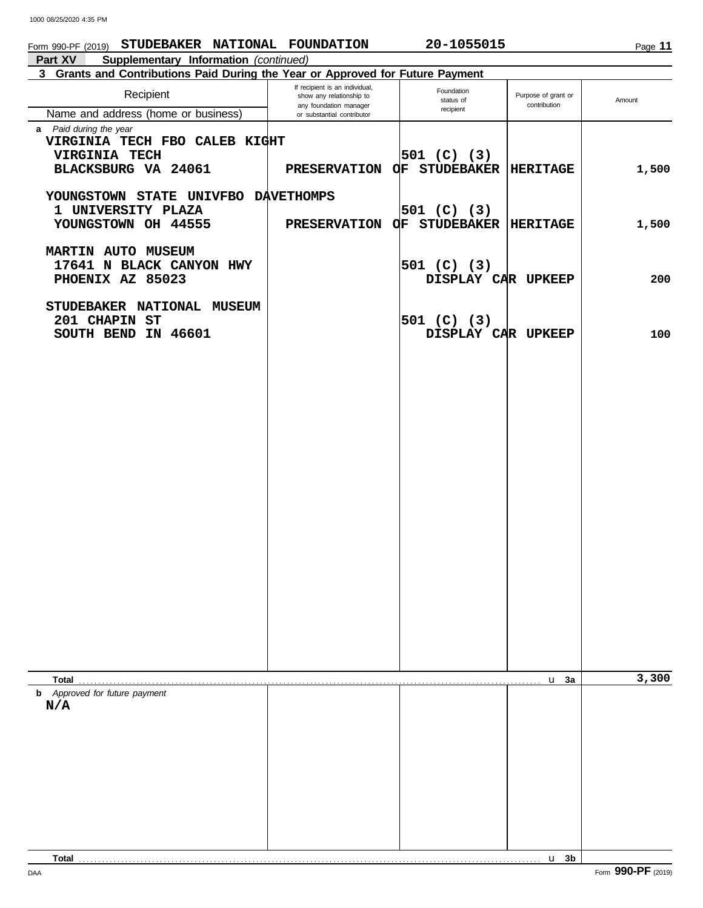| STUDEBAKER NATIONAL FOUNDATION<br>Form 990-PF (2019)                           |                                                            | 20-1055015                          |                     | Page 11 |
|--------------------------------------------------------------------------------|------------------------------------------------------------|-------------------------------------|---------------------|---------|
| Part XV<br>Supplementary Information (continued)                               |                                                            |                                     |                     |         |
| 3 Grants and Contributions Paid During the Year or Approved for Future Payment |                                                            |                                     |                     |         |
| Recipient                                                                      | If recipient is an individual,<br>show any relationship to | Foundation                          | Purpose of grant or |         |
| Name and address (home or business)                                            | any foundation manager                                     | status of<br>recipient              | contribution        | Amount  |
|                                                                                | or substantial contributor                                 |                                     |                     |         |
| a Paid during the year<br>VIRGINIA TECH FBO CALEB KIGHT                        |                                                            |                                     |                     |         |
| <b>VIRGINIA TECH</b>                                                           |                                                            | 501 $(C)$ (3)                       |                     |         |
| BLACKSBURG VA 24061                                                            |                                                            | PRESERVATION OF STUDEBAKER          | <b>HERITAGE</b>     | 1,500   |
|                                                                                |                                                            |                                     |                     |         |
| YOUNGSTOWN STATE UNIVFBO DAVETHOMPS                                            |                                                            |                                     |                     |         |
| 1 UNIVERSITY PLAZA                                                             |                                                            | $501$ (C) (3)                       |                     |         |
| YOUNGSTOWN OH 44555                                                            |                                                            | PRESERVATION OF STUDEBAKER HERITAGE |                     | 1,500   |
|                                                                                |                                                            |                                     |                     |         |
| <b>MARTIN AUTO MUSEUM</b>                                                      |                                                            |                                     |                     |         |
| 17641 N BLACK CANYON HWY                                                       |                                                            | $501$ (C) (3)                       |                     |         |
| PHOENIX AZ 85023                                                               |                                                            | DISPLAY CAR UPKEEP                  |                     | 200     |
|                                                                                |                                                            |                                     |                     |         |
| STUDEBAKER NATIONAL MUSEUM                                                     |                                                            |                                     |                     |         |
| 201 CHAPIN ST                                                                  |                                                            | $501$ (C) (3)                       |                     |         |
| SOUTH BEND IN 46601                                                            |                                                            | DISPLAY CAR UPKEEP                  |                     | 100     |
|                                                                                |                                                            |                                     |                     |         |
|                                                                                |                                                            |                                     |                     |         |
|                                                                                |                                                            |                                     |                     |         |
|                                                                                |                                                            |                                     |                     |         |
|                                                                                |                                                            |                                     |                     |         |
|                                                                                |                                                            |                                     |                     |         |
|                                                                                |                                                            |                                     |                     |         |
|                                                                                |                                                            |                                     |                     |         |
|                                                                                |                                                            |                                     |                     |         |
|                                                                                |                                                            |                                     |                     |         |
|                                                                                |                                                            |                                     |                     |         |
|                                                                                |                                                            |                                     |                     |         |
|                                                                                |                                                            |                                     |                     |         |
|                                                                                |                                                            |                                     |                     |         |
|                                                                                |                                                            |                                     |                     |         |
|                                                                                |                                                            |                                     |                     |         |
|                                                                                |                                                            |                                     |                     |         |
|                                                                                |                                                            |                                     |                     |         |
|                                                                                |                                                            |                                     |                     |         |
|                                                                                |                                                            |                                     |                     |         |
|                                                                                |                                                            |                                     |                     |         |
|                                                                                |                                                            |                                     |                     |         |
|                                                                                |                                                            |                                     |                     |         |
|                                                                                |                                                            |                                     |                     |         |
| Total                                                                          |                                                            |                                     | u <sub>3a</sub>     | 3,300   |
| <b>b</b> Approved for future payment                                           |                                                            |                                     |                     |         |
| N/A                                                                            |                                                            |                                     |                     |         |
|                                                                                |                                                            |                                     |                     |         |
|                                                                                |                                                            |                                     |                     |         |
|                                                                                |                                                            |                                     |                     |         |
|                                                                                |                                                            |                                     |                     |         |
|                                                                                |                                                            |                                     |                     |         |
|                                                                                |                                                            |                                     |                     |         |
|                                                                                |                                                            |                                     |                     |         |
|                                                                                |                                                            |                                     |                     |         |
|                                                                                |                                                            |                                     |                     |         |
|                                                                                |                                                            |                                     |                     |         |

DAA

 $u$  3b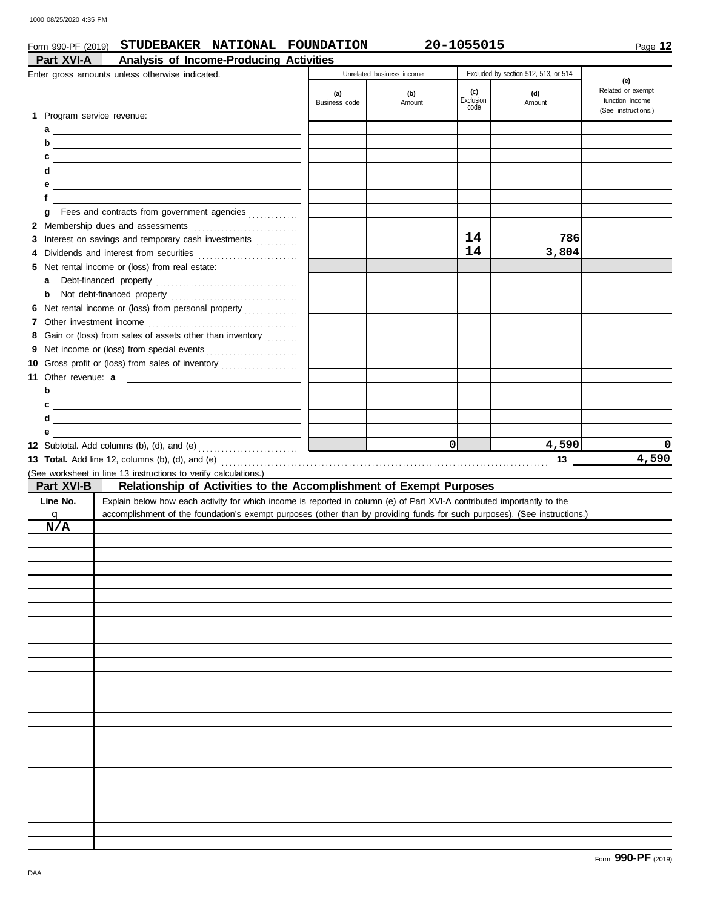### Form 990-PF (2019) **STUDEBAKER NATIONAL FOUNDATION 20-1055015**

Page **12**

|                            | Enter gross amounts unless otherwise indicated.                                                                                                                                                                                                      |                      | Unrelated business income |                          | Excluded by section 512, 513, or 514 | (e)                                  |
|----------------------------|------------------------------------------------------------------------------------------------------------------------------------------------------------------------------------------------------------------------------------------------------|----------------------|---------------------------|--------------------------|--------------------------------------|--------------------------------------|
|                            |                                                                                                                                                                                                                                                      | (a)<br>Business code | (b)<br>Amount             | (c)<br>Exclusion<br>code | (d)<br>Amount                        | Related or exempt<br>function income |
| 1 Program service revenue: |                                                                                                                                                                                                                                                      |                      |                           |                          |                                      | (See instructions.)                  |
|                            |                                                                                                                                                                                                                                                      |                      |                           |                          |                                      |                                      |
|                            |                                                                                                                                                                                                                                                      |                      |                           |                          |                                      |                                      |
| c<br>d                     | <u> Alexandria de la contrada de la contrada de la contrada de la contrada de la contrada de la contrada de la c</u>                                                                                                                                 |                      |                           |                          |                                      |                                      |
| е                          | <u> 1989 - Johann Stein, mars an de Brasilia (b. 1989)</u><br><u> 1989 - Johann Stein, mars an deus Amerikaansk kommunister (</u>                                                                                                                    |                      |                           |                          |                                      |                                      |
| f                          |                                                                                                                                                                                                                                                      |                      |                           |                          |                                      |                                      |
| g                          | Fees and contracts from government agencies                                                                                                                                                                                                          |                      |                           |                          |                                      |                                      |
|                            |                                                                                                                                                                                                                                                      |                      |                           |                          |                                      |                                      |
|                            | 3 Interest on savings and temporary cash investments                                                                                                                                                                                                 |                      |                           | 14                       | 786                                  |                                      |
|                            |                                                                                                                                                                                                                                                      |                      |                           | 14                       | 3,804                                |                                      |
|                            | 5 Net rental income or (loss) from real estate:                                                                                                                                                                                                      |                      |                           |                          |                                      |                                      |
| a                          |                                                                                                                                                                                                                                                      |                      |                           |                          |                                      |                                      |
| b                          |                                                                                                                                                                                                                                                      |                      |                           |                          |                                      |                                      |
|                            | 6 Net rental income or (loss) from personal property                                                                                                                                                                                                 |                      |                           |                          |                                      |                                      |
|                            | 8 Gain or (loss) from sales of assets other than inventory                                                                                                                                                                                           |                      |                           |                          |                                      |                                      |
|                            |                                                                                                                                                                                                                                                      |                      |                           |                          |                                      |                                      |
|                            | 10 Gross profit or (loss) from sales of inventory                                                                                                                                                                                                    |                      |                           |                          |                                      |                                      |
|                            | 11 Other revenue: a                                                                                                                                                                                                                                  |                      |                           |                          |                                      |                                      |
| b                          |                                                                                                                                                                                                                                                      |                      |                           |                          |                                      |                                      |
|                            |                                                                                                                                                                                                                                                      |                      |                           |                          |                                      |                                      |
| c                          |                                                                                                                                                                                                                                                      |                      |                           |                          |                                      |                                      |
| d                          | <u> 1989 - Andrea Stadt, fransk politik (d. 1989)</u><br><u> 1989 - Johann Barn, amerikansk politiker (d. 1989)</u>                                                                                                                                  |                      |                           |                          |                                      |                                      |
| е                          |                                                                                                                                                                                                                                                      |                      |                           |                          |                                      |                                      |
|                            |                                                                                                                                                                                                                                                      |                      |                           | οl                       | 4,590                                |                                      |
|                            |                                                                                                                                                                                                                                                      |                      |                           |                          | 13                                   |                                      |
|                            | (See worksheet in line 13 instructions to verify calculations.)                                                                                                                                                                                      |                      |                           |                          |                                      | 4,590                                |
| Part XVI-B<br>Line No.     | Relationship of Activities to the Accomplishment of Exempt Purposes                                                                                                                                                                                  |                      |                           |                          |                                      |                                      |
| q                          | Explain below how each activity for which income is reported in column (e) of Part XVI-A contributed importantly to the<br>accomplishment of the foundation's exempt purposes (other than by providing funds for such purposes). (See instructions.) |                      |                           |                          |                                      |                                      |
| N/A                        |                                                                                                                                                                                                                                                      |                      |                           |                          |                                      |                                      |
|                            |                                                                                                                                                                                                                                                      |                      |                           |                          |                                      |                                      |
|                            |                                                                                                                                                                                                                                                      |                      |                           |                          |                                      |                                      |
|                            |                                                                                                                                                                                                                                                      |                      |                           |                          |                                      |                                      |
|                            |                                                                                                                                                                                                                                                      |                      |                           |                          |                                      |                                      |
|                            |                                                                                                                                                                                                                                                      |                      |                           |                          |                                      |                                      |
|                            |                                                                                                                                                                                                                                                      |                      |                           |                          |                                      |                                      |
|                            |                                                                                                                                                                                                                                                      |                      |                           |                          |                                      |                                      |
|                            |                                                                                                                                                                                                                                                      |                      |                           |                          |                                      |                                      |
|                            |                                                                                                                                                                                                                                                      |                      |                           |                          |                                      |                                      |
|                            |                                                                                                                                                                                                                                                      |                      |                           |                          |                                      |                                      |
|                            |                                                                                                                                                                                                                                                      |                      |                           |                          |                                      |                                      |
|                            |                                                                                                                                                                                                                                                      |                      |                           |                          |                                      |                                      |
|                            |                                                                                                                                                                                                                                                      |                      |                           |                          |                                      |                                      |
|                            |                                                                                                                                                                                                                                                      |                      |                           |                          |                                      |                                      |
|                            |                                                                                                                                                                                                                                                      |                      |                           |                          |                                      |                                      |
|                            |                                                                                                                                                                                                                                                      |                      |                           |                          |                                      |                                      |
|                            |                                                                                                                                                                                                                                                      |                      |                           |                          |                                      |                                      |
|                            |                                                                                                                                                                                                                                                      |                      |                           |                          |                                      |                                      |
|                            |                                                                                                                                                                                                                                                      |                      |                           |                          |                                      |                                      |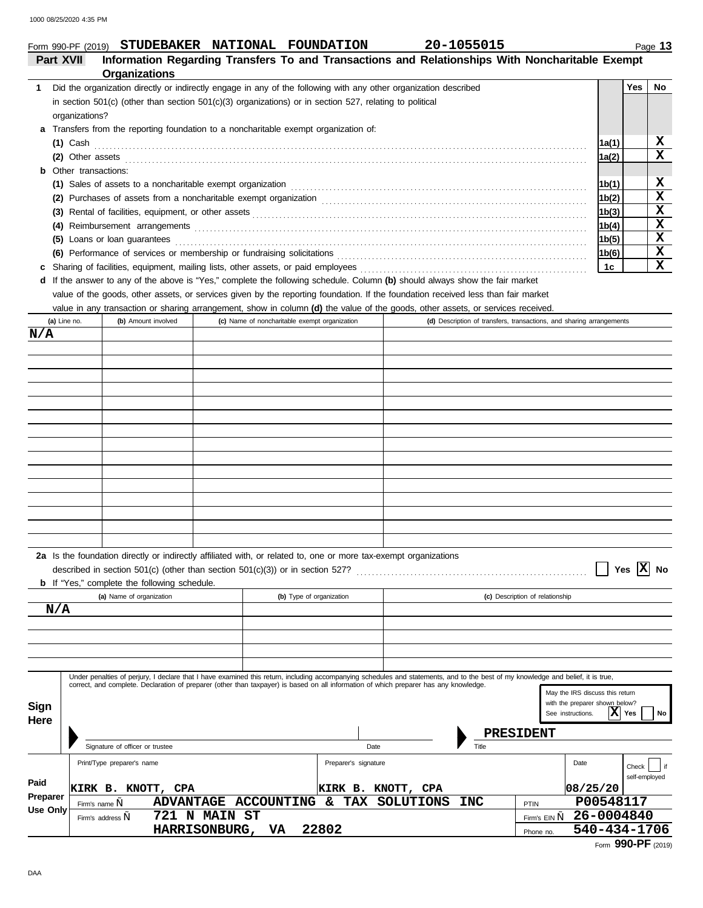### Form 990-PF (2019) **STUDEBAKER NATIONAL FOUNDATION 20-1055015 Part XVII Information Regarding Transfers To and Transactions and Relationships With Noncharitable Exempt**

|   | <b>Organizations</b>                                                                                                                                                                                                                 |       |            |     |
|---|--------------------------------------------------------------------------------------------------------------------------------------------------------------------------------------------------------------------------------------|-------|------------|-----|
| 1 | Did the organization directly or indirectly engage in any of the following with any other organization described                                                                                                                     |       | <b>Yes</b> | No. |
|   | in section $501(c)$ (other than section $501(c)(3)$ organizations) or in section 527, relating to political                                                                                                                          |       |            |     |
|   | organizations?                                                                                                                                                                                                                       |       |            |     |
|   | a Transfers from the reporting foundation to a noncharitable exempt organization of:                                                                                                                                                 |       |            |     |
|   | $(1)$ Cash                                                                                                                                                                                                                           | 1a(1) |            | х   |
|   | (2) Other assets <b>contract the contract of the contract of the contract of the contract of the contract of the contract of the contract of the contract of the contract of the contract of the contract of the contract of the</b> | 1a(2) |            | x   |
|   | <b>b</b> Other transactions:                                                                                                                                                                                                         |       |            |     |
|   | (1) Sales of assets to a noncharitable exempt organization material content of the set of assets to a noncharitable exempt organization                                                                                              | 1b(1) |            | х   |
|   |                                                                                                                                                                                                                                      | 1b(2) |            | х   |
|   |                                                                                                                                                                                                                                      | 1b(3) |            | х   |
|   |                                                                                                                                                                                                                                      | 1b(4) |            | х   |
|   | Loans or loan guarantees<br>(5)                                                                                                                                                                                                      | 1b(5) |            | х   |
|   | (6) Performance of services or membership or fundraising solicitations                                                                                                                                                               | 1b(6) |            | х   |
|   |                                                                                                                                                                                                                                      | 1c    |            | x   |
|   |                                                                                                                                                                                                                                      |       |            |     |

**d** If the answer to any of the above is "Yes," complete the following schedule. Column **(b)** should always show the fair market

value of the goods, other assets, or services given by the reporting foundation. If the foundation received less than fair market

value in any transaction or sharing arrangement, show in column **(d)** the value of the goods, other assets, or services received.

| (a) Line no.    | (b) Amount involved                                 |                  | (c) Name of noncharitable exempt organization                                                                                                                                                                                                                                                                             |                    |            | (d) Description of transfers, transactions, and sharing arrangements                                               |
|-----------------|-----------------------------------------------------|------------------|---------------------------------------------------------------------------------------------------------------------------------------------------------------------------------------------------------------------------------------------------------------------------------------------------------------------------|--------------------|------------|--------------------------------------------------------------------------------------------------------------------|
| N/A             |                                                     |                  |                                                                                                                                                                                                                                                                                                                           |                    |            |                                                                                                                    |
|                 |                                                     |                  |                                                                                                                                                                                                                                                                                                                           |                    |            |                                                                                                                    |
|                 |                                                     |                  |                                                                                                                                                                                                                                                                                                                           |                    |            |                                                                                                                    |
|                 |                                                     |                  |                                                                                                                                                                                                                                                                                                                           |                    |            |                                                                                                                    |
|                 |                                                     |                  |                                                                                                                                                                                                                                                                                                                           |                    |            |                                                                                                                    |
|                 |                                                     |                  |                                                                                                                                                                                                                                                                                                                           |                    |            |                                                                                                                    |
|                 |                                                     |                  |                                                                                                                                                                                                                                                                                                                           |                    |            |                                                                                                                    |
|                 |                                                     |                  |                                                                                                                                                                                                                                                                                                                           |                    |            |                                                                                                                    |
|                 |                                                     |                  |                                                                                                                                                                                                                                                                                                                           |                    |            |                                                                                                                    |
|                 |                                                     |                  |                                                                                                                                                                                                                                                                                                                           |                    |            |                                                                                                                    |
|                 |                                                     |                  |                                                                                                                                                                                                                                                                                                                           |                    |            |                                                                                                                    |
|                 |                                                     |                  |                                                                                                                                                                                                                                                                                                                           |                    |            |                                                                                                                    |
|                 |                                                     |                  |                                                                                                                                                                                                                                                                                                                           |                    |            |                                                                                                                    |
|                 |                                                     |                  |                                                                                                                                                                                                                                                                                                                           |                    |            |                                                                                                                    |
|                 |                                                     |                  |                                                                                                                                                                                                                                                                                                                           |                    |            |                                                                                                                    |
|                 |                                                     |                  |                                                                                                                                                                                                                                                                                                                           |                    |            |                                                                                                                    |
|                 | <b>b</b> If "Yes," complete the following schedule. |                  | 2a Is the foundation directly or indirectly affiliated with, or related to, one or more tax-exempt organizations                                                                                                                                                                                                          |                    |            | Yes $\overline{X}$ No                                                                                              |
|                 | (a) Name of organization                            |                  | (b) Type of organization                                                                                                                                                                                                                                                                                                  |                    |            | (c) Description of relationship                                                                                    |
| N/A             |                                                     |                  |                                                                                                                                                                                                                                                                                                                           |                    |            |                                                                                                                    |
|                 |                                                     |                  |                                                                                                                                                                                                                                                                                                                           |                    |            |                                                                                                                    |
|                 |                                                     |                  |                                                                                                                                                                                                                                                                                                                           |                    |            |                                                                                                                    |
|                 |                                                     |                  |                                                                                                                                                                                                                                                                                                                           |                    |            |                                                                                                                    |
|                 |                                                     |                  |                                                                                                                                                                                                                                                                                                                           |                    |            |                                                                                                                    |
| Sign<br>Here    |                                                     |                  | Under penalties of perjury, I declare that I have examined this return, including accompanying schedules and statements, and to the best of my knowledge and belief, it is true,<br>correct, and complete. Declaration of preparer (other than taxpayer) is based on all information of which preparer has any knowledge. |                    |            | May the IRS discuss this return<br>with the preparer shown below?<br>$ \mathbf{X} $ Yes<br>See instructions.<br>No |
|                 |                                                     |                  |                                                                                                                                                                                                                                                                                                                           |                    |            | PRESIDENT                                                                                                          |
|                 | Signature of officer or trustee                     |                  | Date                                                                                                                                                                                                                                                                                                                      |                    | Title      |                                                                                                                    |
|                 | Print/Type preparer's name                          |                  | Preparer's signature                                                                                                                                                                                                                                                                                                      |                    |            | Date<br>Check<br>  if<br>self-employed                                                                             |
| Paid            | KIRK B. KNOTT, CPA                                  |                  |                                                                                                                                                                                                                                                                                                                           | KIRK B. KNOTT, CPA |            | 08/25/20                                                                                                           |
| Preparer        | Firm's name,                                        |                  | ADVANTAGE ACCOUNTING & TAX SOLUTIONS                                                                                                                                                                                                                                                                                      |                    | <b>INC</b> | P00548117<br>PTIN                                                                                                  |
| <b>Use Only</b> | Firm's address,                                     | 721 N MAIN ST    |                                                                                                                                                                                                                                                                                                                           |                    |            | 26-0004840<br>Firm's EIN                                                                                           |
|                 |                                                     | HARRISONBURG, VA | 22802                                                                                                                                                                                                                                                                                                                     |                    |            | 540-434-1706<br>Phone no.                                                                                          |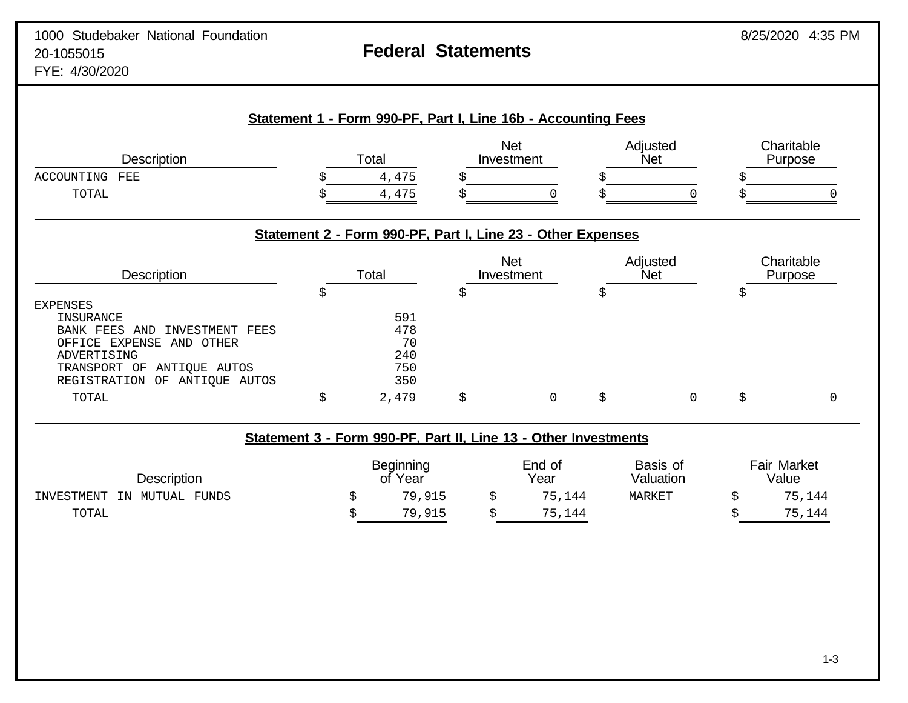# **Statement 1 - Form 990-PF, Part I, Line 16b - Accounting Fees** Net Adjusted Charitable<br>
Investment Net Purpose Description **Net Reserve Total** Total **Investment** Net Net Purpose ACCOUNTING FEE  $\qquad \qquad$   $\qquad \qquad$   $\qquad \qquad$   $\qquad \qquad$   $\qquad \qquad$   $\qquad \qquad$   $\qquad \qquad$   $\qquad \qquad$   $\qquad \qquad$   $\qquad \qquad$   $\qquad \qquad$   $\qquad \qquad$   $\qquad$   $\qquad \qquad$  $\texttt{TOTAL} \qquad \qquad \texttt{\$} \qquad \qquad \texttt{\$} \qquad \texttt{\$} \qquad \texttt{\$} \qquad \texttt{\$} \qquad \qquad \texttt{\$} \qquad \qquad \texttt{\$} \qquad \qquad \texttt{\$} \qquad \qquad \texttt{\$} \qquad \qquad \texttt{\$} \qquad \qquad \texttt{\$} \qquad \qquad \texttt{\$} \qquad \qquad \texttt{\$} \qquad \qquad \texttt{\$} \qquad \qquad \texttt{\$} \qquad \qquad \texttt{\$} \qquad \qquad \texttt{\$} \qquad \qquad \texttt{\$} \qquad \qquad \$ **Statement 2 - Form 990-PF, Part I, Line 23 - Other Expenses** Net Met Adjusted Charitable<br>
Net Purpose Description **Net Reserve Total** Total **Investment** Net Net Purpose  $\begin{matrix} \diamondsuit & \diamondsuit & \diamondsuit & \diamondsuit \end{matrix}$ EXPENSES INSURANCE 591 BANK FEES AND INVESTMENT FEES  $478$ <br>OFFICE EXPENSE AND OTHER  $70$  OFFICE EXPENSE AND OTHER 70 ADVERTISING 240<br>TRANSPORT OF ANTIOUE AUTOS 250 TRANSPORT OF ANTIQUE AUTOS 750 REGISTRATION OF ANTIOUE AUTOS  $\texttt{TOTAL} \qquad \qquad \texttt{\$} \qquad \qquad \texttt{\$} \qquad \qquad \texttt{\$} \qquad \qquad \texttt{\$} \qquad \qquad \texttt{\$} \qquad \qquad \texttt{\$} \qquad \qquad \texttt{\$} \qquad \qquad \texttt{\$} \qquad \qquad \texttt{\$} \qquad \qquad \texttt{\$} \qquad \qquad \texttt{\$} \qquad \qquad \texttt{\$} \qquad \qquad \texttt{\$} \qquad \qquad \texttt{\$} \qquad \qquad \texttt{\$} \qquad \qquad \texttt{\$} \qquad \qquad \texttt{\$} \qquad \qquad \texttt{\$

# **Statement 3 - Form 990-PF, Part II, Line 13 - Other Investments**

| <b>Description</b>                         | <b>Beginning</b><br>Year<br>Сt | End of<br>Year   | Basis of<br>Valuation | Fair Market<br>Value |
|--------------------------------------------|--------------------------------|------------------|-----------------------|----------------------|
| <b>FUNDS</b><br>MUTUAL<br>TNVESTMENT<br>ΙN | 915<br>79                      | 75<br>144        | MARKET                | 75<br>,144           |
| TOTAL                                      | 915.<br>79                     | 75.<br>.144<br>ັ |                       | 75.<br>,144          |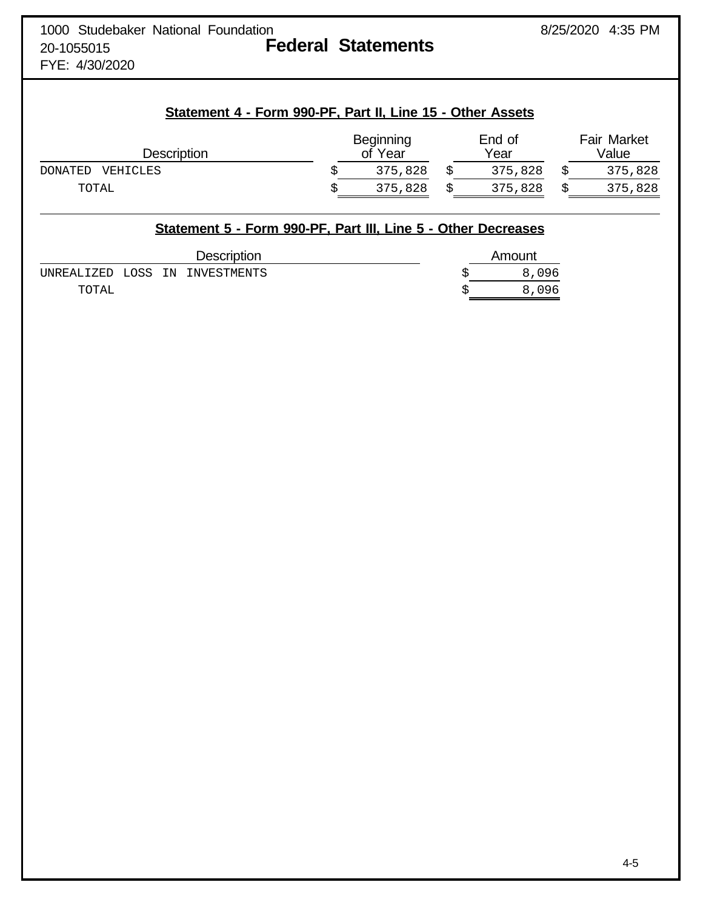FYE: 4/30/2020

# **Statement 4 - Form 990-PF, Part II, Line 15 - Other Assets**

| Description                |  | Beginning<br>of Year | End of<br>Year | <b>Fair Market</b><br>Value |
|----------------------------|--|----------------------|----------------|-----------------------------|
| VEHICLES<br><b>DONATED</b> |  | 375,828              | 375,828        | 375,828                     |
| TOTAL                      |  | 375,828              | 375,828        | 375,828                     |

|       | Statement 5 - Form 990-PF, Part III, Line 5 - Other Decreases |                                |        |
|-------|---------------------------------------------------------------|--------------------------------|--------|
|       |                                                               | <b>Description</b>             | Amount |
|       |                                                               | UNREALIZED LOSS IN INVESTMENTS | 8,096  |
| TOTAL |                                                               |                                | 8,096  |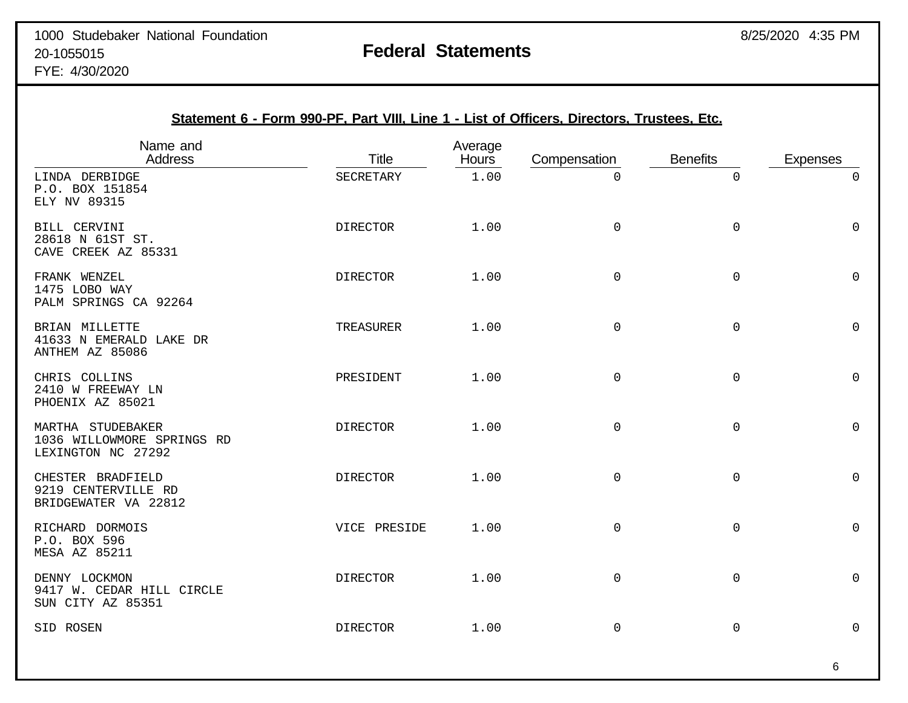|                                                                       | Statement 6 - Form 990-PF, Part VIII, Line 1 - List of Officers, Directors, Trustees, Etc. |                  |                     |                     |                     |
|-----------------------------------------------------------------------|--------------------------------------------------------------------------------------------|------------------|---------------------|---------------------|---------------------|
| Name and<br><b>Address</b>                                            | <b>Title</b>                                                                               | Average<br>Hours | Compensation        | <b>Benefits</b>     | <b>Expenses</b>     |
| LINDA DERBIDGE<br>P.O. BOX 151854<br>ELY NV 89315                     | SECRETARY                                                                                  | 1.00             | $\Omega$            | $\mathsf{O}$        | $\mathbf 0$         |
| BILL CERVINI<br>28618 N 61ST ST.<br>CAVE CREEK AZ 85331               | <b>DIRECTOR</b>                                                                            | 1.00             | 0                   | $\mathbf 0$         | $\Omega$            |
| FRANK WENZEL<br>1475 LOBO WAY<br>PALM SPRINGS CA 92264                | <b>DIRECTOR</b>                                                                            | 1.00             | $\mathbf 0$         | $\mathsf{O}$        | $\mathbf 0$         |
| BRIAN MILLETTE<br>41633 N EMERALD LAKE DR<br>ANTHEM AZ 85086          | TREASURER                                                                                  | 1.00             | $\mathbf 0$         | 0                   | $\mathbf 0$         |
| CHRIS COLLINS<br>2410 W FREEWAY LN<br>PHOENIX AZ 85021                | PRESIDENT                                                                                  | 1.00             | $\mathsf{O}\xspace$ | $\mathsf 0$         | $\mathbf 0$         |
| MARTHA STUDEBAKER<br>1036 WILLOWMORE SPRINGS RD<br>LEXINGTON NC 27292 | <b>DIRECTOR</b>                                                                            | 1.00             | $\mathsf 0$         | $\mathsf 0$         | $\mathsf 0$         |
| CHESTER BRADFIELD<br>9219 CENTERVILLE RD<br>BRIDGEWATER VA 22812      | <b>DIRECTOR</b>                                                                            | 1.00             | $\mathsf 0$         | $\mathsf{O}\xspace$ | $\mathsf{O}\xspace$ |
| RICHARD DORMOIS<br>P.O. BOX 596<br><b>MESA AZ 85211</b>               | VICE PRESIDE                                                                               | 1.00             | $\Omega$            | $\Omega$            | $\Omega$            |
| DENNY LOCKMON<br>9417 W. CEDAR HILL CIRCLE<br>SUN CITY AZ 85351       | <b>DIRECTOR</b>                                                                            | 1.00             | $\Omega$            | $\mathbf 0$         | $\Omega$            |
| SID ROSEN                                                             | <b>DIRECTOR</b>                                                                            | 1.00             | 0                   | 0                   | $\mathsf 0$         |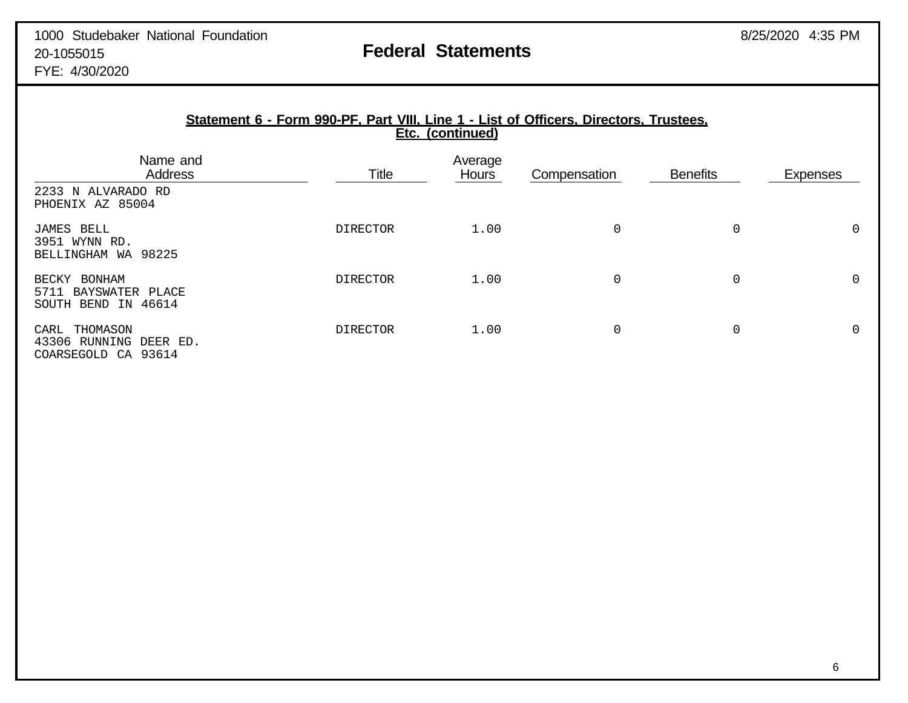| Statement 6 - Form 990-PF, Part VIII, Line 1 - List of Officers, Directors, Trustees, |  |
|---------------------------------------------------------------------------------------|--|
| Etc. (continued)                                                                      |  |

| Name and<br>Address                                                      | <b>Title</b>    | Average<br>Hours | Compensation | <b>Benefits</b> | Expenses       |  |
|--------------------------------------------------------------------------|-----------------|------------------|--------------|-----------------|----------------|--|
| 2233 N ALVARADO RD<br>PHOENIX AZ 85004                                   |                 |                  |              |                 |                |  |
| JAMES BELL<br>3951 WYNN RD.<br>BELLINGHAM WA 98225                       | <b>DIRECTOR</b> | 1.00             | $\mathbf 0$  | 0               | $\mathbf 0$    |  |
| <b>BONHAM</b><br>BECKY<br>BAYSWATER PLACE<br>5711<br>SOUTH BEND IN 46614 | <b>DIRECTOR</b> | 1.00             | $\mathbf 0$  | 0               | $\overline{0}$ |  |
| THOMASON<br>CARL<br>43306 RUNNING DEER ED.<br>COARSEGOLD CA 93614        | <b>DIRECTOR</b> | 1.00             | $\mathbf 0$  | $\mathbf 0$     | $\overline{0}$ |  |

6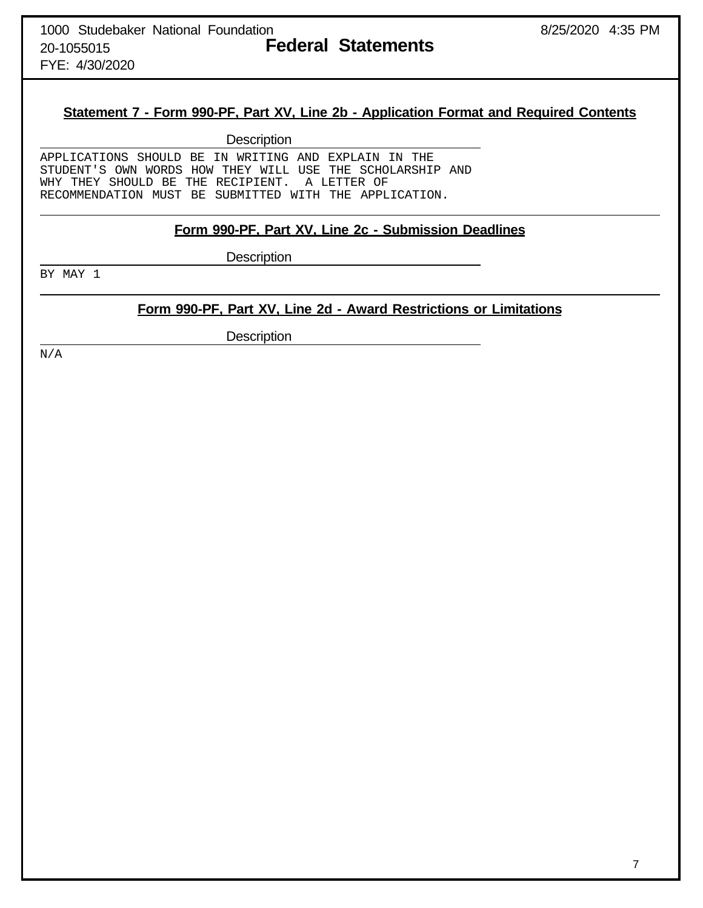FYE: 4/30/2020

## **Statement 7 - Form 990-PF, Part XV, Line 2b - Application Format and Required Contents**

**Description** 

APPLICATIONS SHOULD BE IN WRITING AND EXPLAIN IN THE STUDENT'S OWN WORDS HOW THEY WILL USE THE SCHOLARSHIP AND WHY THEY SHOULD BE THE RECIPIENT. A LETTER OF RECOMMENDATION MUST BE SUBMITTED WITH THE APPLICATION.

### **Form 990-PF, Part XV, Line 2c - Submission Deadlines**

**Description** 

BY MAY 1

# **Form 990-PF, Part XV, Line 2d - Award Restrictions or Limitations**

**Description** 

N/A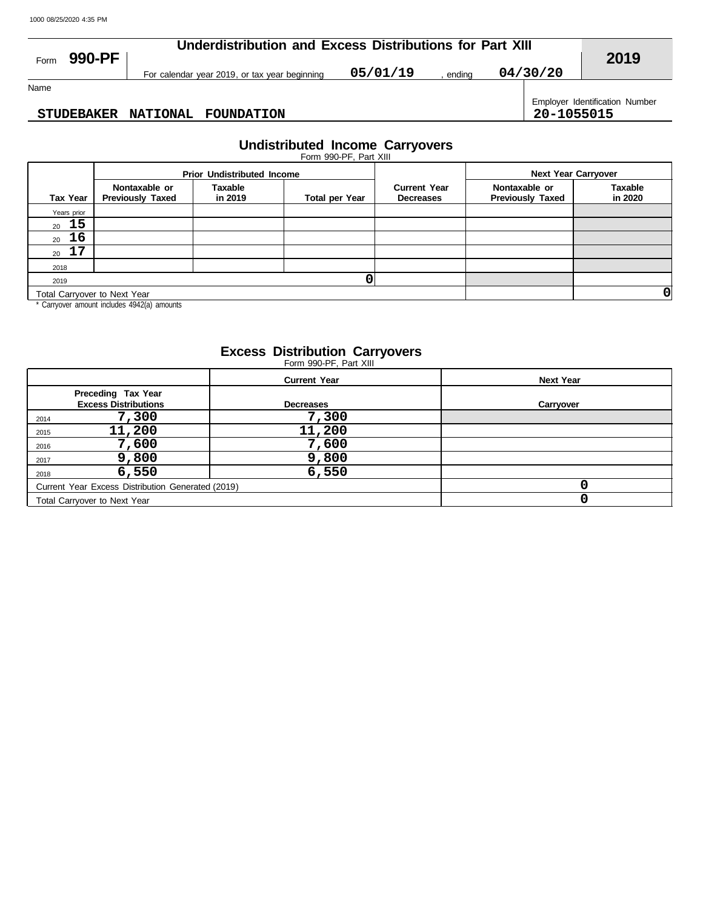|                   | Underdistribution and Excess Distributions for Part XIII |          |        |            |                                |
|-------------------|----------------------------------------------------------|----------|--------|------------|--------------------------------|
| 990-PF  <br>Form  | For calendar year 2019, or tax year beginning            | 05/01/19 | endina | 04/30/20   | 2019                           |
| Name              |                                                          |          |        |            |                                |
| <b>STUDEBAKER</b> | <b>NATIONAL</b><br><b>FOUNDATION</b>                     |          |        | 20-1055015 | Employer Identification Number |

### **STUDEBAKER NATIONAL FOUNDATION 20-1055015**

# **Undistributed Income Carryovers**

| Form 990-PF. Part XIII          |                                   |                |                                         |                                        |  |  |  |
|---------------------------------|-----------------------------------|----------------|-----------------------------------------|----------------------------------------|--|--|--|
|                                 | <b>Prior Undistributed Income</b> |                | Next                                    |                                        |  |  |  |
| Nontaxable or<br>eviously Taxed | Taxable<br>in 2019                | Total per Year | <b>Current Year</b><br><b>Decreases</b> | Nontaxable or<br><b>Previously Tax</b> |  |  |  |

|                              |                                          | <b>Prior Undistributed Income</b> |                       |                                         | <b>Next Year Carryover</b>               |                           |  |  |
|------------------------------|------------------------------------------|-----------------------------------|-----------------------|-----------------------------------------|------------------------------------------|---------------------------|--|--|
| <b>Tax Year</b>              | Nontaxable or<br><b>Previously Taxed</b> | Taxable<br>in 2019                | <b>Total per Year</b> | <b>Current Year</b><br><b>Decreases</b> | Nontaxable or<br><b>Previously Taxed</b> | <b>Taxable</b><br>in 2020 |  |  |
| Years prior                  |                                          |                                   |                       |                                         |                                          |                           |  |  |
| 20 15                        |                                          |                                   |                       |                                         |                                          |                           |  |  |
| 16<br>20                     |                                          |                                   |                       |                                         |                                          |                           |  |  |
| $20\quad 17$                 |                                          |                                   |                       |                                         |                                          |                           |  |  |
| 2018                         |                                          |                                   |                       |                                         |                                          |                           |  |  |
| 2019                         |                                          |                                   |                       |                                         |                                          |                           |  |  |
| Total Carryover to Next Year |                                          |                                   |                       |                                         | 0                                        |                           |  |  |

\* Carryover amount includes 4942(a) amounts

### **Excess Distribution Carryovers**

Form 990-PF, Part XIII

| <b>Current Year</b> | <b>Next Year</b>                                                      |
|---------------------|-----------------------------------------------------------------------|
|                     |                                                                       |
|                     | Carryover                                                             |
| 7,300               |                                                                       |
| 11,200              |                                                                       |
| 7,600               |                                                                       |
| 9,800               |                                                                       |
| 6,550               |                                                                       |
|                     |                                                                       |
|                     |                                                                       |
|                     | <b>Decreases</b><br>Current Year Excess Distribution Generated (2019) |